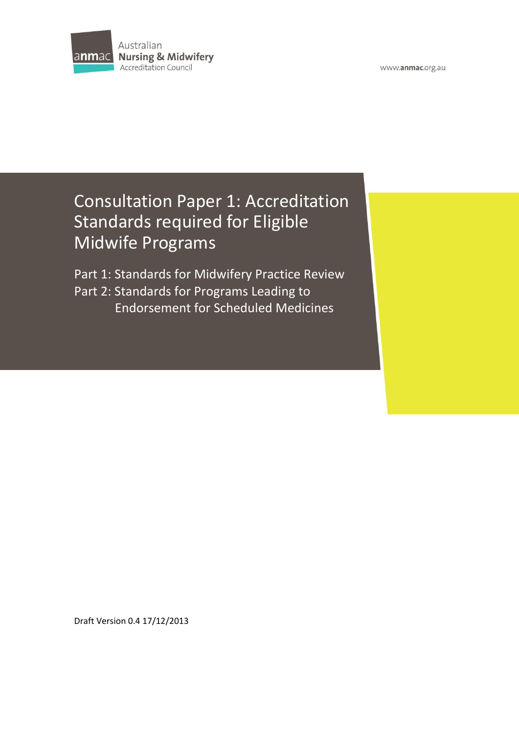

# Consultation Paper 1: Accreditation Standards required for Eligible Midwife Programs

Part 1: Standards for Midwifery Practice Review Part 2: Standards for Programs Leading to Endorsement for Scheduled Medicines

Draft Version 0.4 17/12/2013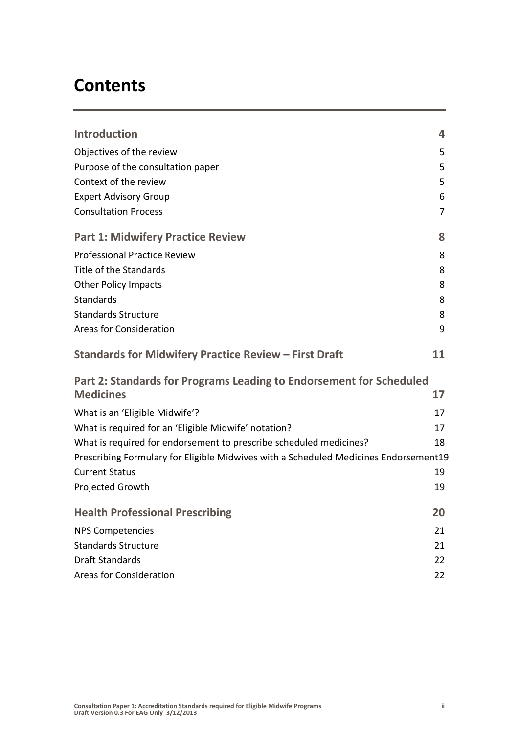# **Contents**

| <b>Introduction</b>                                                                  | 4  |
|--------------------------------------------------------------------------------------|----|
| Objectives of the review                                                             | 5  |
| Purpose of the consultation paper                                                    | 5  |
| Context of the review                                                                | 5  |
| <b>Expert Advisory Group</b>                                                         | 6  |
| <b>Consultation Process</b>                                                          | 7  |
| <b>Part 1: Midwifery Practice Review</b>                                             | 8  |
| <b>Professional Practice Review</b>                                                  | 8  |
| Title of the Standards                                                               | 8  |
| <b>Other Policy Impacts</b>                                                          | 8  |
| <b>Standards</b>                                                                     | 8  |
| <b>Standards Structure</b>                                                           | 8  |
| <b>Areas for Consideration</b>                                                       | 9  |
| <b>Standards for Midwifery Practice Review - First Draft</b>                         | 11 |
| Part 2: Standards for Programs Leading to Endorsement for Scheduled                  |    |
| <b>Medicines</b>                                                                     | 17 |
| What is an 'Eligible Midwife'?                                                       | 17 |
| What is required for an 'Eligible Midwife' notation?                                 | 17 |
| What is required for endorsement to prescribe scheduled medicines?                   | 18 |
| Prescribing Formulary for Eligible Midwives with a Scheduled Medicines Endorsement19 |    |
| <b>Current Status</b>                                                                | 19 |
| Projected Growth                                                                     | 19 |
| <b>Health Professional Prescribing</b>                                               | 20 |
| <b>NPS Competencies</b>                                                              | 21 |
| <b>Standards Structure</b>                                                           | 21 |
| Draft Standards                                                                      | 22 |
| <b>Areas for Consideration</b>                                                       | 22 |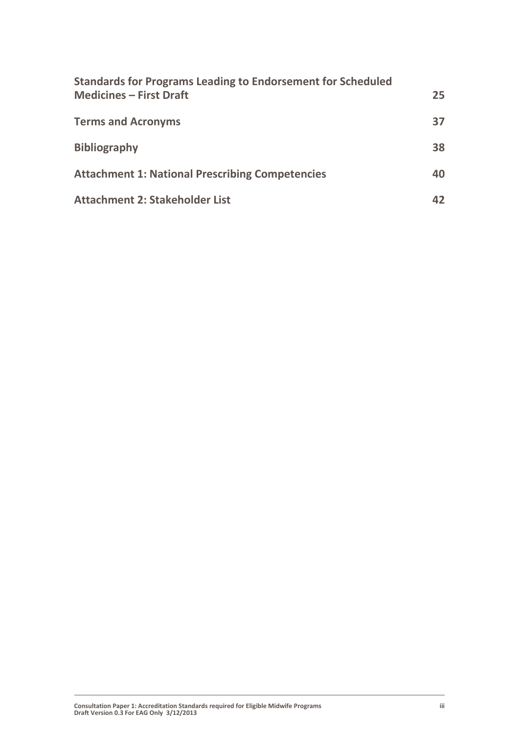| <b>Standards for Programs Leading to Endorsement for Scheduled</b><br><b>Medicines - First Draft</b> | 25 <sub>1</sub> |
|------------------------------------------------------------------------------------------------------|-----------------|
| <b>Terms and Acronyms</b>                                                                            | 37              |
| <b>Bibliography</b>                                                                                  | 38              |
| <b>Attachment 1: National Prescribing Competencies</b>                                               | 40              |
| <b>Attachment 2: Stakeholder List</b>                                                                | 42              |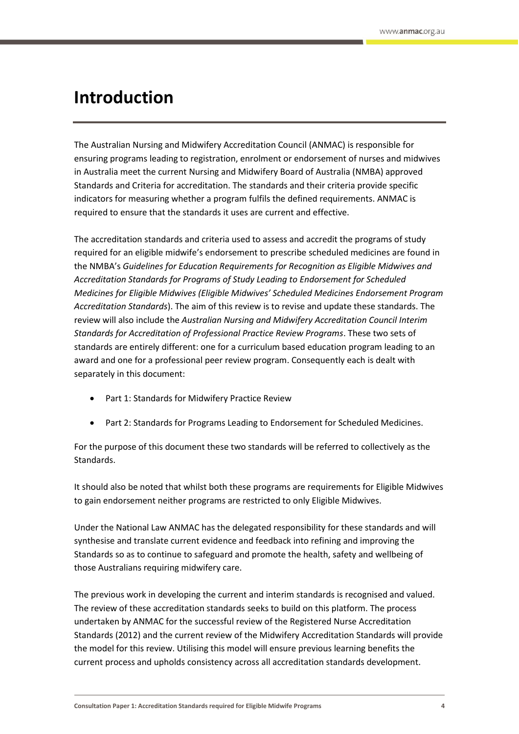# <span id="page-3-0"></span>**Introduction**

The Australian Nursing and Midwifery Accreditation Council (ANMAC) is responsible for ensuring programs leading to registration, enrolment or endorsement of nurses and midwives in Australia meet the current Nursing and Midwifery Board of Australia (NMBA) approved Standards and Criteria for accreditation. The standards and their criteria provide specific indicators for measuring whether a program fulfils the defined requirements. ANMAC is required to ensure that the standards it uses are current and effective.

The accreditation standards and criteria used to assess and accredit the programs of study required for an eligible midwife's endorsement to prescribe scheduled medicines are found in the NMBA's *Guidelines for Education Requirements for Recognition as Eligible Midwives and Accreditation Standards for Programs of Study Leading to Endorsement for Scheduled Medicines for Eligible Midwives (Eligible Midwives' Scheduled Medicines Endorsement Program Accreditation Standards*). The aim of this review is to revise and update these standards. The review will also include the *Australian Nursing and Midwifery Accreditation Council Interim Standards for Accreditation of Professional Practice Review Programs*. These two sets of standards are entirely different: one for a curriculum based education program leading to an award and one for a professional peer review program. Consequently each is dealt with separately in this document:

- Part 1: Standards for Midwifery Practice Review
- Part 2: Standards for Programs Leading to Endorsement for Scheduled Medicines.

For the purpose of this document these two standards will be referred to collectively as the Standards.

It should also be noted that whilst both these programs are requirements for Eligible Midwives to gain endorsement neither programs are restricted to only Eligible Midwives.

Under the National Law ANMAC has the delegated responsibility for these standards and will synthesise and translate current evidence and feedback into refining and improving the Standards so as to continue to safeguard and promote the health, safety and wellbeing of those Australians requiring midwifery care.

The previous work in developing the current and interim standards is recognised and valued. The review of these accreditation standards seeks to build on this platform. The process undertaken by ANMAC for the successful review of the Registered Nurse Accreditation Standards (2012) and the current review of the Midwifery Accreditation Standards will provide the model for this review. Utilising this model will ensure previous learning benefits the current process and upholds consistency across all accreditation standards development.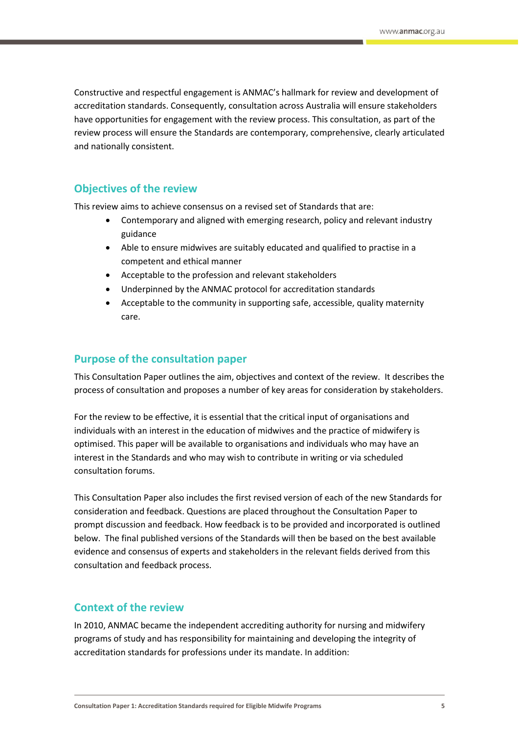Constructive and respectful engagement is ANMAC's hallmark for review and development of accreditation standards. Consequently, consultation across Australia will ensure stakeholders have opportunities for engagement with the review process. This consultation, as part of the review process will ensure the Standards are contemporary, comprehensive, clearly articulated and nationally consistent.

## <span id="page-4-0"></span>**Objectives of the review**

This review aims to achieve consensus on a revised set of Standards that are:

- Contemporary and aligned with emerging research, policy and relevant industry guidance
- Able to ensure midwives are suitably educated and qualified to practise in a competent and ethical manner
- Acceptable to the profession and relevant stakeholders
- Underpinned by the ANMAC protocol for accreditation standards
- Acceptable to the community in supporting safe, accessible, quality maternity care.

## <span id="page-4-1"></span>**Purpose of the consultation paper**

This Consultation Paper outlines the aim, objectives and context of the review. It describes the process of consultation and proposes a number of key areas for consideration by stakeholders.

For the review to be effective, it is essential that the critical input of organisations and individuals with an interest in the education of midwives and the practice of midwifery is optimised. This paper will be available to organisations and individuals who may have an interest in the Standards and who may wish to contribute in writing or via scheduled consultation forums.

This Consultation Paper also includes the first revised version of each of the new Standards for consideration and feedback. Questions are placed throughout the Consultation Paper to prompt discussion and feedback. How feedback is to be provided and incorporated is outlined below. The final published versions of the Standards will then be based on the best available evidence and consensus of experts and stakeholders in the relevant fields derived from this consultation and feedback process.

## <span id="page-4-2"></span>**Context of the review**

In 2010, ANMAC became the independent accrediting authority for nursing and midwifery programs of study and has responsibility for maintaining and developing the integrity of accreditation standards for professions under its mandate. In addition: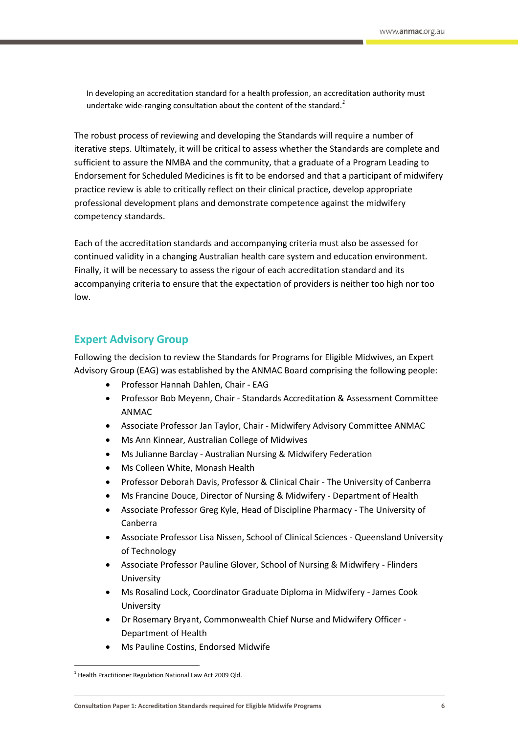In developing an accreditation standard for a health profession, an accreditation authority must undertake wide-ranging consultation about the content of the standard*. 1*

The robust process of reviewing and developing the Standards will require a number of iterative steps. Ultimately, it will be critical to assess whether the Standards are complete and sufficient to assure the NMBA and the community, that a graduate of a Program Leading to Endorsement for Scheduled Medicines is fit to be endorsed and that a participant of midwifery practice review is able to critically reflect on their clinical practice, develop appropriate professional development plans and demonstrate competence against the midwifery competency standards.

Each of the accreditation standards and accompanying criteria must also be assessed for continued validity in a changing Australian health care system and education environment. Finally, it will be necessary to assess the rigour of each accreditation standard and its accompanying criteria to ensure that the expectation of providers is neither too high nor too low.

## <span id="page-5-0"></span>**Expert Advisory Group**

Following the decision to review the Standards for Programs for Eligible Midwives, an Expert Advisory Group (EAG) was established by the ANMAC Board comprising the following people:

- Professor Hannah Dahlen, Chair EAG
- Professor Bob Meyenn, Chair Standards Accreditation & Assessment Committee ANMAC
- Associate Professor Jan Taylor, Chair Midwifery Advisory Committee ANMAC
- Ms Ann Kinnear, Australian College of Midwives
- Ms Julianne Barclay Australian Nursing & Midwifery Federation
- Ms Colleen White, Monash Health
- Professor Deborah Davis, Professor & Clinical Chair The University of Canberra
- Ms Francine Douce, Director of Nursing & Midwifery Department of Health
- Associate Professor Greg Kyle, Head of Discipline Pharmacy The University of Canberra
- Associate Professor Lisa Nissen, School of Clinical Sciences Queensland University of Technology
- Associate Professor Pauline Glover, School of Nursing & Midwifery Flinders University
- Ms Rosalind Lock, Coordinator Graduate Diploma in Midwifery James Cook University
- Dr Rosemary Bryant, Commonwealth Chief Nurse and Midwifery Officer Department of Health
- Ms Pauline Costins, Endorsed Midwife

 $\overline{\phantom{a}}$ 

<sup>&</sup>lt;sup>1</sup> Health Practitioner Regulation National Law Act 2009 Qld.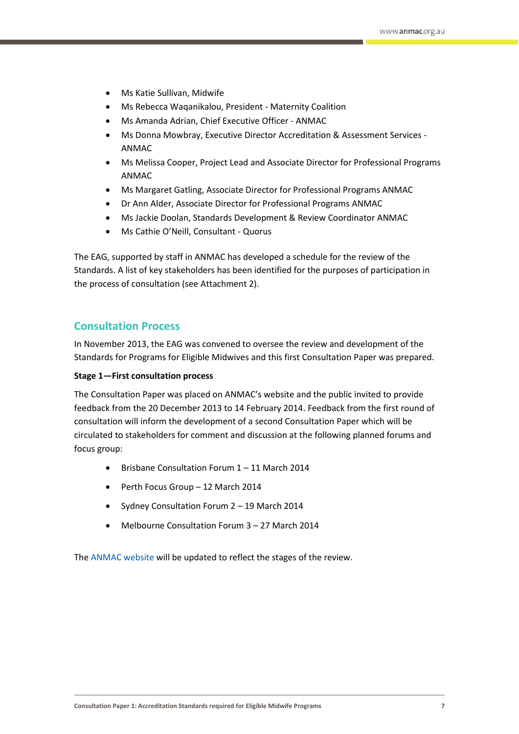- Ms Katie Sullivan, Midwife
- Ms Rebecca Waqanikalou, President Maternity Coalition
- Ms Amanda Adrian, Chief Executive Officer ANMAC
- Ms Donna Mowbray, Executive Director Accreditation & Assessment Services ANMAC
- Ms Melissa Cooper, Project Lead and Associate Director for Professional Programs ANMAC
- Ms Margaret Gatling, Associate Director for Professional Programs ANMAC
- Dr Ann Alder, Associate Director for Professional Programs ANMAC
- Ms Jackie Doolan, Standards Development & Review Coordinator ANMAC
- Ms Cathie O'Neill, Consultant Quorus

The EAG, supported by staff in ANMAC has developed a schedule for the review of the Standards. A list of key stakeholders has been identified for the purposes of participation in the process of consultation (see Attachment 2).

## <span id="page-6-0"></span>**Consultation Process**

In November 2013, the EAG was convened to oversee the review and development of the Standards for Programs for Eligible Midwives and this first Consultation Paper was prepared.

### **Stage 1—First consultation process**

The Consultation Paper was placed on ANMAC's website and the public invited to provide feedback from the 20 December 2013 to 14 February 2014. Feedback from the first round of consultation will inform the development of a second Consultation Paper which will be circulated to stakeholders for comment and discussion at the following planned forums and focus group:

- Brisbane Consultation Forum 1 11 March 2014
- Perth Focus Group 12 March 2014
- Sydney Consultation Forum 2 19 March 2014
- Melbourne Consultation Forum 3 27 March 2014

The [ANMAC website](http://anmac.org.au/) will be updated to reflect the stages of the review.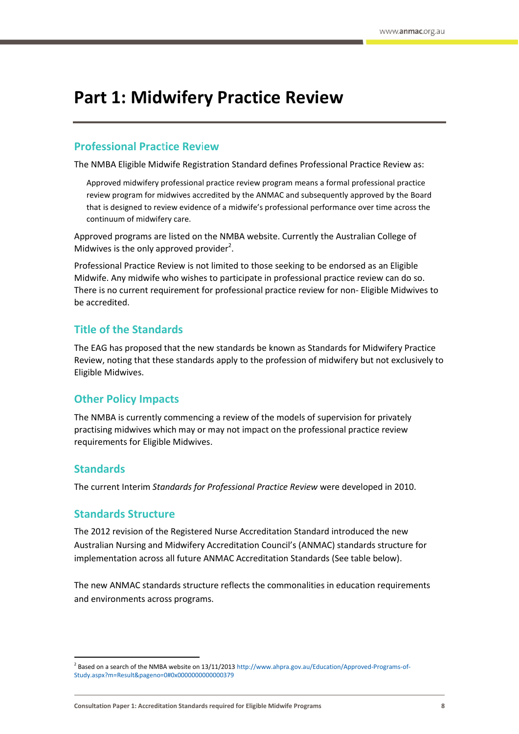# <span id="page-7-0"></span>**Part 1: Midwifery Practice Review**

## <span id="page-7-1"></span>**Professional Prac**t**ice Rev**i**ew**

The NMBA Eligible Midwife Registration Standard defines Professional Practice Review as:

Approved midwifery professional practice review program means a formal professional practice review program for midwives accredited by the ANMAC and subsequently approved by the Board that is designed to review evidence of a midwife's professional performance over time across the continuum of midwifery care.

Approved programs are listed on the NMBA website. Currently the Australian College of Midwives is the only approved provider<sup>2</sup>.

Professional Practice Review is not limited to those seeking to be endorsed as an Eligible Midwife. Any midwife who wishes to participate in professional practice review can do so. There is no current requirement for professional practice review for non- Eligible Midwives to be accredited.

# <span id="page-7-2"></span>**Title of the Standards**

The EAG has proposed that the new standards be known as Standards for Midwifery Practice Review, noting that these standards apply to the profession of midwifery but not exclusively to Eligible Midwives.

## <span id="page-7-3"></span>**Other Policy Impacts**

The NMBA is currently commencing a review of the models of supervision for privately practising midwives which may or may not impact on the professional practice review requirements for Eligible Midwives.

## <span id="page-7-4"></span>**Standards**

**.** 

<span id="page-7-5"></span>The current Interim *Standards for Professional Practice Review* were developed in 2010.

# **Standards Structure**

The 2012 revision of the Registered Nurse Accreditation Standard introduced the new Australian Nursing and Midwifery Accreditation Council's (ANMAC) standards structure for implementation across all future ANMAC Accreditation Standards (See table below).

The new ANMAC standards structure reflects the commonalities in education requirements and environments across programs.

<sup>&</sup>lt;sup>2</sup> Based on a search of the NMBA website on 13/11/201[3 http://www.ahpra.gov.au/Education/Approved-Programs-of-](http://www.ahpra.gov.au/Education/Approved-Programs-of-Study.aspx?m=Result&pageno=0#0x0000000000000379)[Study.aspx?m=Result&pageno=0#0x0000000000000379](http://www.ahpra.gov.au/Education/Approved-Programs-of-Study.aspx?m=Result&pageno=0#0x0000000000000379)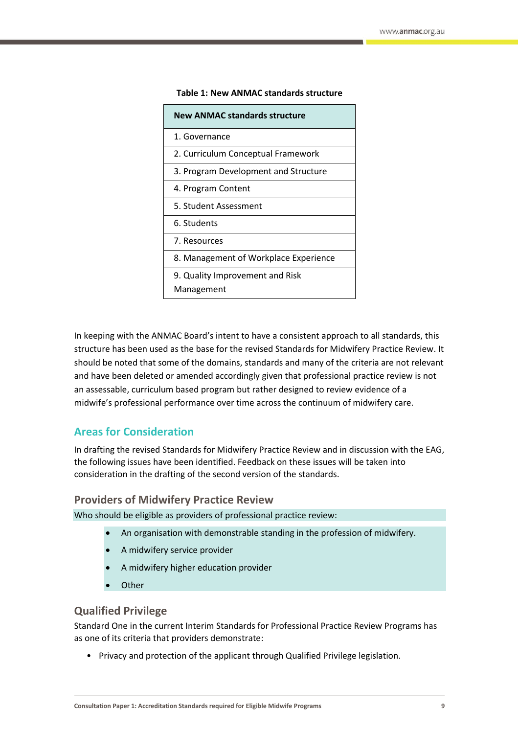| <b>New ANMAC standards structure</b>  |
|---------------------------------------|
| 1. Governance                         |
| 2. Curriculum Conceptual Framework    |
| 3. Program Development and Structure  |
| 4. Program Content                    |
| 5. Student Assessment                 |
| 6. Students                           |
| 7. Resources                          |
| 8. Management of Workplace Experience |
| 9. Quality Improvement and Risk       |
| Management                            |

#### **Table 1: New ANMAC standards structure**

In keeping with the ANMAC Board's intent to have a consistent approach to all standards, this structure has been used as the base for the revised Standards for Midwifery Practice Review. It should be noted that some of the domains, standards and many of the criteria are not relevant and have been deleted or amended accordingly given that professional practice review is not an assessable, curriculum based program but rather designed to review evidence of a midwife's professional performance over time across the continuum of midwifery care.

## <span id="page-8-0"></span>**Areas for Consideration**

In drafting the revised Standards for Midwifery Practice Review and in discussion with the EAG, the following issues have been identified. Feedback on these issues will be taken into consideration in the drafting of the second version of the standards.

### **Providers of Midwifery Practice Review**

Who should be eligible as providers of professional practice review:

- An organisation with demonstrable standing in the profession of midwifery.
- A midwifery service provider
- A midwifery higher education provider
- **Other**

## **Qualified Privilege**

Standard One in the current Interim Standards for Professional Practice Review Programs has as one of its criteria that providers demonstrate:

• Privacy and protection of the applicant through Qualified Privilege legislation.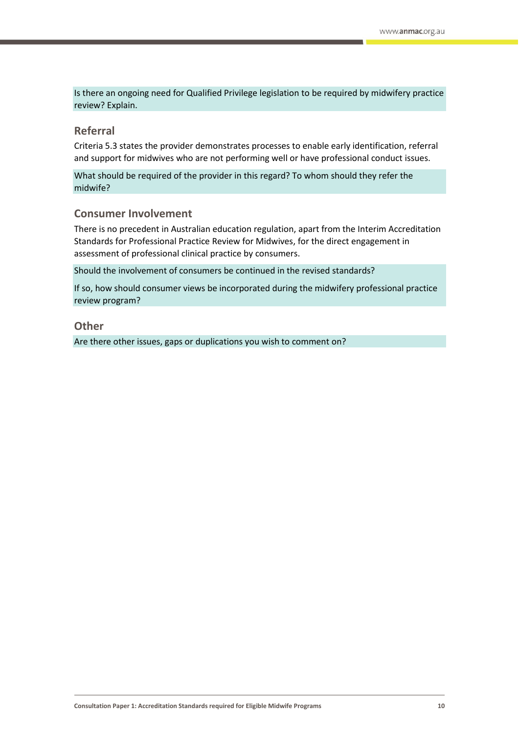Is there an ongoing need for Qualified Privilege legislation to be required by midwifery practice review? Explain.

## **Referral**

Criteria 5.3 states the provider demonstrates processes to enable early identification, referral and support for midwives who are not performing well or have professional conduct issues.

What should be required of the provider in this regard? To whom should they refer the midwife?

## **Consumer Involvement**

There is no precedent in Australian education regulation, apart from the Interim Accreditation Standards for Professional Practice Review for Midwives, for the direct engagement in assessment of professional clinical practice by consumers.

Should the involvement of consumers be continued in the revised standards?

If so, how should consumer views be incorporated during the midwifery professional practice review program?

### **Other**

Are there other issues, gaps or duplications you wish to comment on?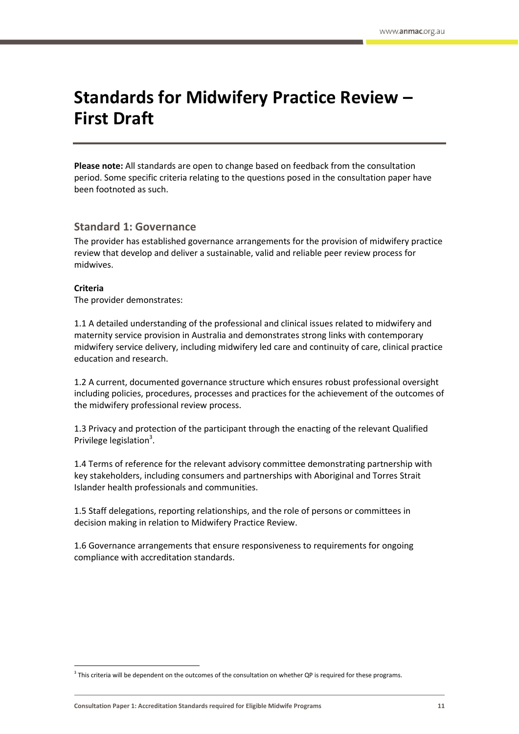# <span id="page-10-0"></span>**Standards for Midwifery Practice Review – First Draft**

**Please note:** All standards are open to change based on feedback from the consultation period. Some specific criteria relating to the questions posed in the consultation paper have been footnoted as such.

## **Standard 1: Governance**

The provider has established governance arrangements for the provision of midwifery practice review that develop and deliver a sustainable, valid and reliable peer review process for midwives.

### **Criteria**

 $\overline{\phantom{a}}$ 

The provider demonstrates:

1.1 A detailed understanding of the professional and clinical issues related to midwifery and maternity service provision in Australia and demonstrates strong links with contemporary midwifery service delivery, including midwifery led care and continuity of care, clinical practice education and research.

1.2 A current, documented governance structure which ensures robust professional oversight including policies, procedures, processes and practices for the achievement of the outcomes of the midwifery professional review process.

1.3 Privacy and protection of the participant through the enacting of the relevant Qualified Privilege legislation<sup>3</sup>.

1.4 Terms of reference for the relevant advisory committee demonstrating partnership with key stakeholders, including consumers and partnerships with Aboriginal and Torres Strait Islander health professionals and communities.

1.5 Staff delegations, reporting relationships, and the role of persons or committees in decision making in relation to Midwifery Practice Review.

1.6 Governance arrangements that ensure responsiveness to requirements for ongoing compliance with accreditation standards.

 $3$  This criteria will be dependent on the outcomes of the consultation on whether QP is required for these programs.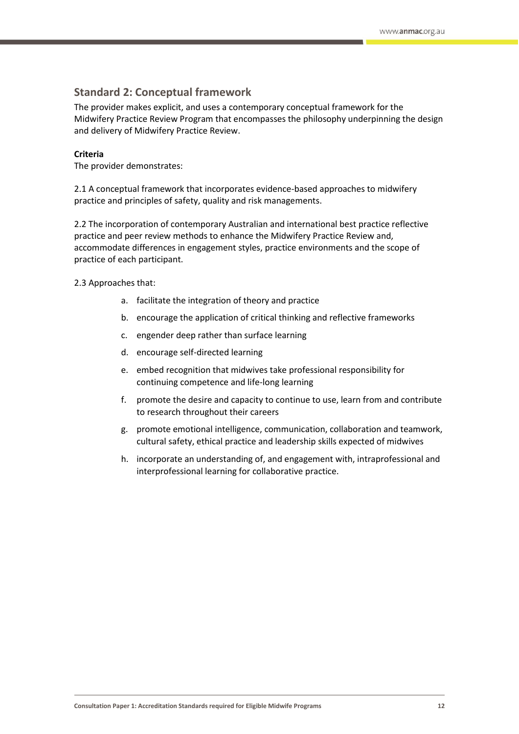## **Standard 2: Conceptual framework**

The provider makes explicit, and uses a contemporary conceptual framework for the Midwifery Practice Review Program that encompasses the philosophy underpinning the design and delivery of Midwifery Practice Review.

### **Criteria**

The provider demonstrates:

2.1 A conceptual framework that incorporates evidence-based approaches to midwifery practice and principles of safety, quality and risk managements.

2.2 The incorporation of contemporary Australian and international best practice reflective practice and peer review methods to enhance the Midwifery Practice Review and, accommodate differences in engagement styles, practice environments and the scope of practice of each participant.

2.3 Approaches that:

- a. facilitate the integration of theory and practice
- b. encourage the application of critical thinking and reflective frameworks
- c. engender deep rather than surface learning
- d. encourage self-directed learning
- e. embed recognition that midwives take professional responsibility for continuing competence and life-long learning
- f. promote the desire and capacity to continue to use, learn from and contribute to research throughout their careers
- g. promote emotional intelligence, communication, collaboration and teamwork, cultural safety, ethical practice and leadership skills expected of midwives
- h. incorporate an understanding of, and engagement with, intraprofessional and interprofessional learning for collaborative practice.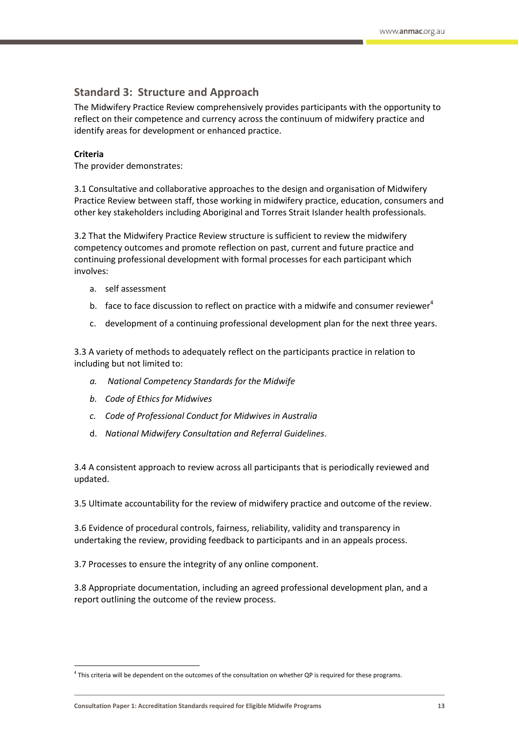# **Standard 3: Structure and Approach**

The Midwifery Practice Review comprehensively provides participants with the opportunity to reflect on their competence and currency across the continuum of midwifery practice and identify areas for development or enhanced practice.

### **Criteria**

 $\overline{\phantom{a}}$ 

The provider demonstrates:

3.1 Consultative and collaborative approaches to the design and organisation of Midwifery Practice Review between staff, those working in midwifery practice, education, consumers and other key stakeholders including Aboriginal and Torres Strait Islander health professionals.

3.2 That the Midwifery Practice Review structure is sufficient to review the midwifery competency outcomes and promote reflection on past, current and future practice and continuing professional development with formal processes for each participant which involves:

- a. self assessment
- b. face to face discussion to reflect on practice with a midwife and consumer reviewer<sup>4</sup>
- c. development of a continuing professional development plan for the next three years.

3.3 A variety of methods to adequately reflect on the participants practice in relation to including but not limited to:

- *a. National Competency Standards for the Midwife*
- *b. Code of Ethics for Midwives*
- *c. Code of Professional Conduct for Midwives in Australia*
- d. *National Midwifery Consultation and Referral Guidelines*.

3.4 A consistent approach to review across all participants that is periodically reviewed and updated.

3.5 Ultimate accountability for the review of midwifery practice and outcome of the review.

3.6 Evidence of procedural controls, fairness, reliability, validity and transparency in undertaking the review, providing feedback to participants and in an appeals process.

3.7 Processes to ensure the integrity of any online component.

3.8 Appropriate documentation, including an agreed professional development plan, and a report outlining the outcome of the review process.

<sup>4</sup> This criteria will be dependent on the outcomes of the consultation on whether QP is required for these programs.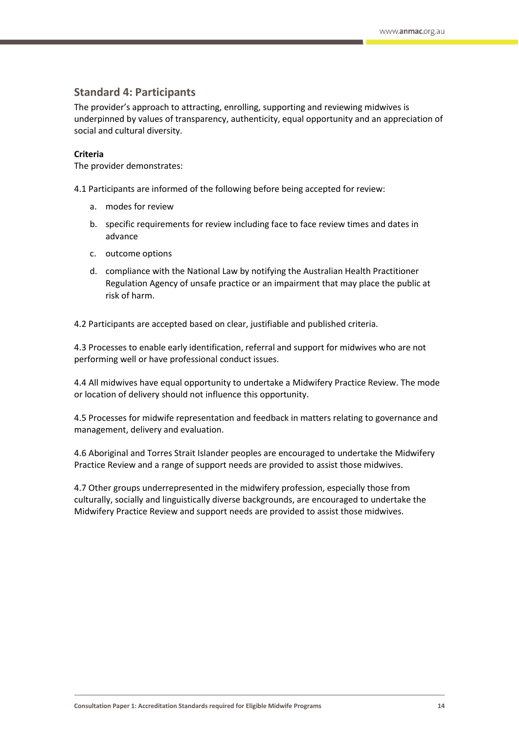## **Standard 4: Participants**

The provider's approach to attracting, enrolling, supporting and reviewing midwives is underpinned by values of transparency, authenticity, equal opportunity and an appreciation of social and cultural diversity.

### **Criteria**

The provider demonstrates:

4.1 Participants are informed of the following before being accepted for review:

- a. modes for review
- b. specific requirements for review including face to face review times and dates in advance
- c. outcome options
- d. compliance with the National Law by notifying the Australian Health Practitioner Regulation Agency of unsafe practice or an impairment that may place the public at risk of harm.

4.2 Participants are accepted based on clear, justifiable and published criteria.

4.3 Processes to enable early identification, referral and support for midwives who are not performing well or have professional conduct issues.

4.4 All midwives have equal opportunity to undertake a Midwifery Practice Review. The mode or location of delivery should not influence this opportunity.

4.5 Processes for midwife representation and feedback in matters relating to governance and management, delivery and evaluation.

4.6 Aboriginal and Torres Strait Islander peoples are encouraged to undertake the Midwifery Practice Review and a range of support needs are provided to assist those midwives.

4.7 Other groups underrepresented in the midwifery profession, especially those from culturally, socially and linguistically diverse backgrounds, are encouraged to undertake the Midwifery Practice Review and support needs are provided to assist those midwives.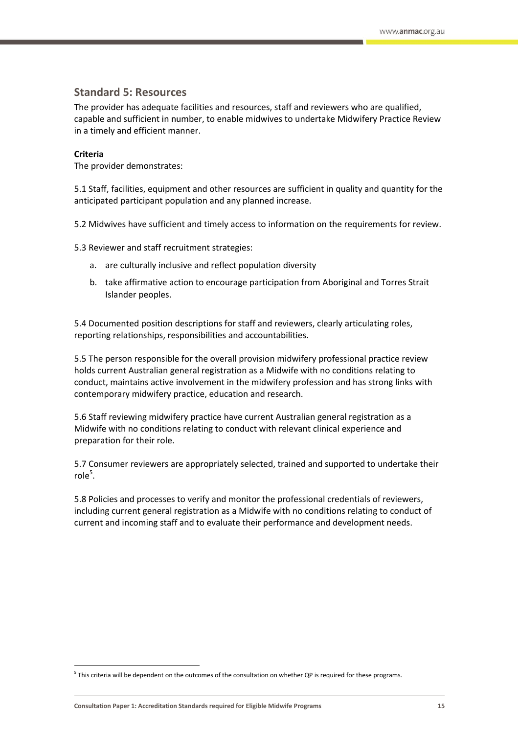## **Standard 5: Resources**

The provider has adequate facilities and resources, staff and reviewers who are qualified, capable and sufficient in number, to enable midwives to undertake Midwifery Practice Review in a timely and efficient manner.

### **Criteria**

 $\overline{\phantom{a}}$ 

The provider demonstrates:

5.1 Staff, facilities, equipment and other resources are sufficient in quality and quantity for the anticipated participant population and any planned increase.

5.2 Midwives have sufficient and timely access to information on the requirements for review.

5.3 Reviewer and staff recruitment strategies:

- a. are culturally inclusive and reflect population diversity
- b. take affirmative action to encourage participation from Aboriginal and Torres Strait Islander peoples.

5.4 Documented position descriptions for staff and reviewers, clearly articulating roles, reporting relationships, responsibilities and accountabilities.

5.5 The person responsible for the overall provision midwifery professional practice review holds current Australian general registration as a Midwife with no conditions relating to conduct, maintains active involvement in the midwifery profession and has strong links with contemporary midwifery practice, education and research.

5.6 Staff reviewing midwifery practice have current Australian general registration as a Midwife with no conditions relating to conduct with relevant clinical experience and preparation for their role.

5.7 Consumer reviewers are appropriately selected, trained and supported to undertake their  $role<sup>5</sup>$ .

5.8 Policies and processes to verify and monitor the professional credentials of reviewers, including current general registration as a Midwife with no conditions relating to conduct of current and incoming staff and to evaluate their performance and development needs.

 $^5$  This criteria will be dependent on the outcomes of the consultation on whether QP is required for these programs.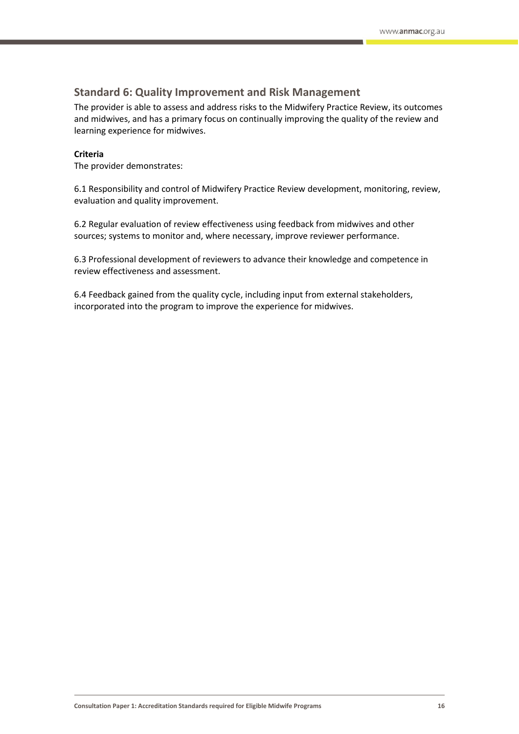## **Standard 6: Quality Improvement and Risk Management**

The provider is able to assess and address risks to the Midwifery Practice Review, its outcomes and midwives, and has a primary focus on continually improving the quality of the review and learning experience for midwives.

#### **Criteria**

The provider demonstrates:

6.1 Responsibility and control of Midwifery Practice Review development, monitoring, review, evaluation and quality improvement.

6.2 Regular evaluation of review effectiveness using feedback from midwives and other sources; systems to monitor and, where necessary, improve reviewer performance.

6.3 Professional development of reviewers to advance their knowledge and competence in review effectiveness and assessment.

6.4 Feedback gained from the quality cycle, including input from external stakeholders, incorporated into the program to improve the experience for midwives.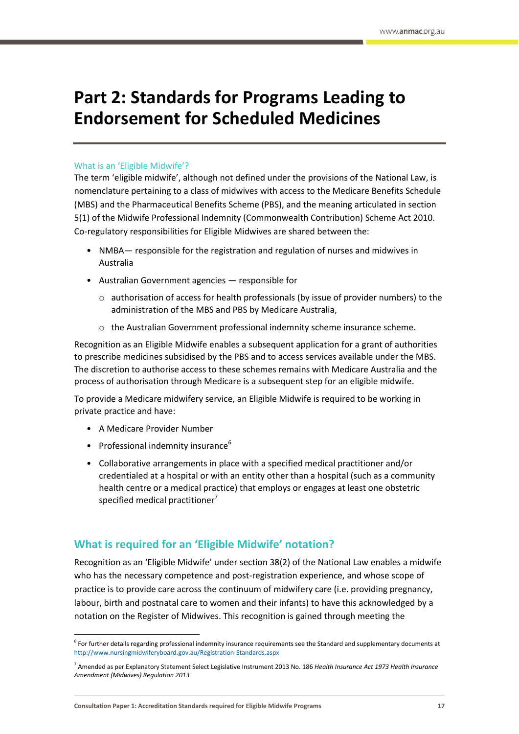# <span id="page-16-0"></span>**Part 2: Standards for Programs Leading to Endorsement for Scheduled Medicines**

### <span id="page-16-1"></span>What is an 'Eligible Midwife'?

The term 'eligible midwife', although not defined under the provisions of the National Law, is nomenclature pertaining to a class of midwives with access to the Medicare Benefits Schedule (MBS) and the Pharmaceutical Benefits Scheme (PBS), and the meaning articulated in section 5(1) of the Midwife Professional Indemnity (Commonwealth Contribution) Scheme Act 2010. Co-regulatory responsibilities for Eligible Midwives are shared between the:

- NMBA— responsible for the registration and regulation of nurses and midwives in Australia
- Australian Government agencies responsible for
	- $\circ$  authorisation of access for health professionals (by issue of provider numbers) to the administration of the MBS and PBS by Medicare Australia,
	- o the Australian Government professional indemnity scheme insurance scheme.

Recognition as an Eligible Midwife enables a subsequent application for a grant of authorities to prescribe medicines subsidised by the PBS and to access services available under the MBS. The discretion to authorise access to these schemes remains with Medicare Australia and the process of authorisation through Medicare is a subsequent step for an eligible midwife.

To provide a Medicare midwifery service, an Eligible Midwife is required to be working in private practice and have:

• A Medicare Provider Number

 $\overline{\phantom{a}}$ 

- Professional indemnity insurance $6$
- Collaborative arrangements in place with a specified medical practitioner and/or credentialed at a hospital or with an entity other than a hospital (such as a community health centre or a medical practice) that employs or engages at least one obstetric specified medical practitioner<sup>7</sup>

# <span id="page-16-2"></span>**What is required for an 'Eligible Midwife' notation?**

Recognition as an 'Eligible Midwife' under section 38(2) of the National Law enables a midwife who has the necessary competence and post-registration experience, and whose scope of practice is to provide care across the continuum of midwifery care (i.e. providing pregnancy, labour, birth and postnatal care to women and their infants) to have this acknowledged by a notation on the Register of Midwives. This recognition is gained through meeting the

<sup>&</sup>lt;sup>6</sup> For further details regarding professional indemnity insurance requirements see the Standard and supplementary documents at <http://www.nursingmidwiferyboard.gov.au/Registration-Standards.aspx>

<sup>7</sup> Amended as per Explanatory Statement Select Legislative Instrument 2013 No. 186 *Health Insurance Act 1973 Health Insurance Amendment (Midwives) Regulation 2013*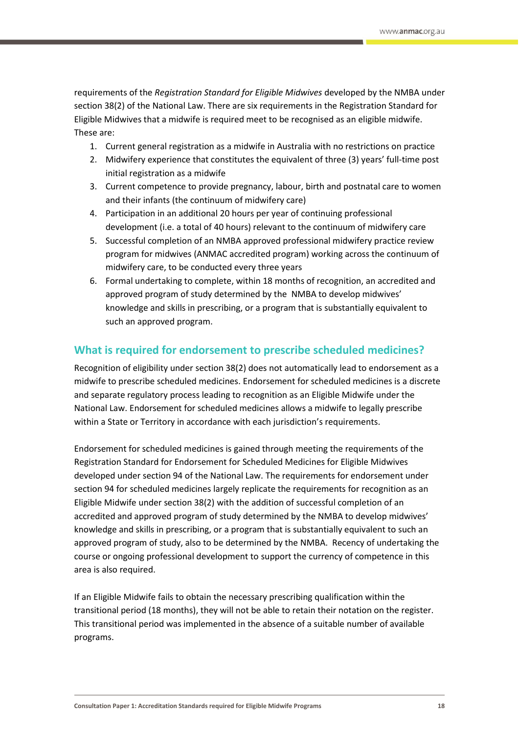requirements of the *Registration Standard for Eligible Midwives* developed by the NMBA under section 38(2) of the National Law. There are six requirements in the Registration Standard for Eligible Midwives that a midwife is required meet to be recognised as an eligible midwife. These are:

- 1. Current general registration as a midwife in Australia with no restrictions on practice
- 2. Midwifery experience that constitutes the equivalent of three (3) years' full-time post initial registration as a midwife
- 3. Current competence to provide pregnancy, labour, birth and postnatal care to women and their infants (the continuum of midwifery care)
- 4. Participation in an additional 20 hours per year of continuing professional development (i.e. a total of 40 hours) relevant to the continuum of midwifery care
- 5. Successful completion of an NMBA approved professional midwifery practice review program for midwives (ANMAC accredited program) working across the continuum of midwifery care, to be conducted every three years
- 6. Formal undertaking to complete, within 18 months of recognition, an accredited and approved program of study determined by the NMBA to develop midwives' knowledge and skills in prescribing, or a program that is substantially equivalent to such an approved program.

# <span id="page-17-0"></span>**What is required for endorsement to prescribe scheduled medicines?**

Recognition of eligibility under section 38(2) does not automatically lead to endorsement as a midwife to prescribe scheduled medicines. Endorsement for scheduled medicines is a discrete and separate regulatory process leading to recognition as an Eligible Midwife under the National Law. Endorsement for scheduled medicines allows a midwife to legally prescribe within a State or Territory in accordance with each jurisdiction's requirements.

Endorsement for scheduled medicines is gained through meeting the requirements of the Registration Standard for Endorsement for Scheduled Medicines for Eligible Midwives developed under section 94 of the National Law. The requirements for endorsement under section 94 for scheduled medicines largely replicate the requirements for recognition as an Eligible Midwife under section 38(2) with the addition of successful completion of an accredited and approved program of study determined by the NMBA to develop midwives' knowledge and skills in prescribing, or a program that is substantially equivalent to such an approved program of study, also to be determined by the NMBA. Recency of undertaking the course or ongoing professional development to support the currency of competence in this area is also required.

If an Eligible Midwife fails to obtain the necessary prescribing qualification within the transitional period (18 months), they will not be able to retain their notation on the register. This transitional period was implemented in the absence of a suitable number of available programs.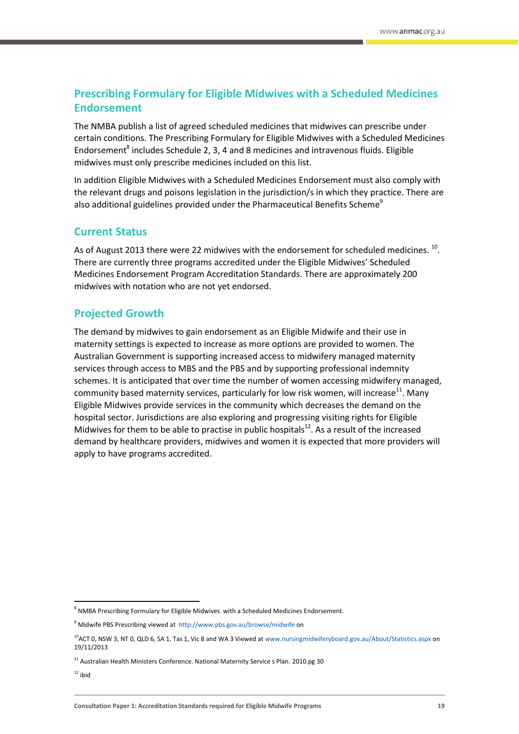# <span id="page-18-0"></span>**Prescribing Formulary for Eligible Midwives with a Scheduled Medicines Endorsement**

The NMBA publish a list of agreed scheduled medicines that midwives can prescribe under certain conditions. The Prescribing Formulary for Eligible Midwives with a Scheduled Medicines Endorsement<sup>8</sup> includes Schedule 2, 3, 4 and 8 medicines and intravenous fluids. Eligible midwives must only prescribe medicines included on this list.

In addition Eligible Midwives with a Scheduled Medicines Endorsement must also comply with the relevant drugs and poisons legislation in the jurisdiction/s in which they practice. There are also additional guidelines provided under the Pharmaceutical Benefits Scheme<sup>9</sup>

# <span id="page-18-1"></span>**Current Status**

As of August 2013 there were 22 midwives with the endorsement for scheduled medicines.  $^{10}$ . There are currently three programs accredited under the Eligible Midwives' Scheduled Medicines Endorsement Program Accreditation Standards. There are approximately 200 midwives with notation who are not yet endorsed.

# <span id="page-18-2"></span>**Projected Growth**

The demand by midwives to gain endorsement as an Eligible Midwife and their use in maternity settings is expected to increase as more options are provided to women. The Australian Government is supporting increased access to midwifery managed maternity services through access to MBS and the PBS and by supporting professional indemnity schemes. It is anticipated that over time the number of women accessing midwifery managed, community based maternity services, particularly for low risk women, will increase<sup>11</sup>. Many Eligible Midwives provide services in the community which decreases the demand on the hospital sector. Jurisdictions are also exploring and progressing visiting rights for Eligible Midwives for them to be able to practise in public hospitals $^{12}$ . As a result of the increased demand by healthcare providers, midwives and women it is expected that more providers will apply to have programs accredited.

**.** 

 $8$  NMBA Prescribing Formulary for Eligible Midwives with a Scheduled Medicines Endorsement.

<sup>9</sup> Midwife PBS Prescribing viewed at<http://www.pbs.gov.au/browse/midwife> on

<sup>&</sup>lt;sup>10</sup>ACT 0, NSW 3, NT 0, QLD 6, SA 1, Tas 1, Vic 8 and WA 3 Viewed a[t www.nursingmidwiferyboard.gov.au/About/Statistics.aspx](http://www.nursingmidwiferyboard.gov.au/About/Statistics.aspx) on 19/11/2013

 $11$  Australian Health Ministers Conference. National Maternity Service s Plan. 2010.pg 30

 $12$  ibid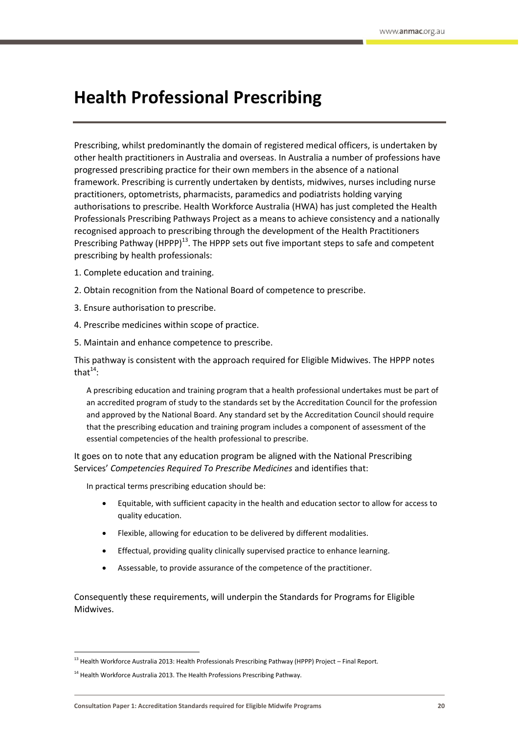# <span id="page-19-0"></span>**Health Professional Prescribing**

Prescribing, whilst predominantly the domain of registered medical officers, is undertaken by other health practitioners in Australia and overseas. In Australia a number of professions have progressed prescribing practice for their own members in the absence of a national framework. Prescribing is currently undertaken by dentists, midwives, nurses including nurse practitioners, optometrists, pharmacists, paramedics and podiatrists holding varying authorisations to prescribe. Health Workforce Australia (HWA) has just completed the Health Professionals Prescribing Pathways Project as a means to achieve consistency and a nationally recognised approach to prescribing through the development of the Health Practitioners Prescribing Pathway (HPPP)<sup>13</sup>. The HPPP sets out five important steps to safe and competent prescribing by health professionals:

- 1. Complete education and training.
- 2. Obtain recognition from the National Board of competence to prescribe.
- 3. Ensure authorisation to prescribe.
- 4. Prescribe medicines within scope of practice.
- 5. Maintain and enhance competence to prescribe.

This pathway is consistent with the approach required for Eligible Midwives. The HPPP notes that $^{14}$ :

A prescribing education and training program that a health professional undertakes must be part of an accredited program of study to the standards set by the Accreditation Council for the profession and approved by the National Board. Any standard set by the Accreditation Council should require that the prescribing education and training program includes a component of assessment of the essential competencies of the health professional to prescribe.

It goes on to note that any education program be aligned with the National Prescribing Services' *Competencies Required To Prescribe Medicines* and identifies that:

In practical terms prescribing education should be:

- Equitable, with sufficient capacity in the health and education sector to allow for access to quality education.
- Flexible, allowing for education to be delivered by different modalities.
- Effectual, providing quality clinically supervised practice to enhance learning.
- Assessable, to provide assurance of the competence of the practitioner.

Consequently these requirements, will underpin the Standards for Programs for Eligible Midwives.

**.** 

<sup>&</sup>lt;sup>13</sup> Health Workforce Australia 2013: Health Professionals Prescribing Pathway (HPPP) Project – Final Report.

 $14$  Health Workforce Australia 2013. The Health Professions Prescribing Pathway.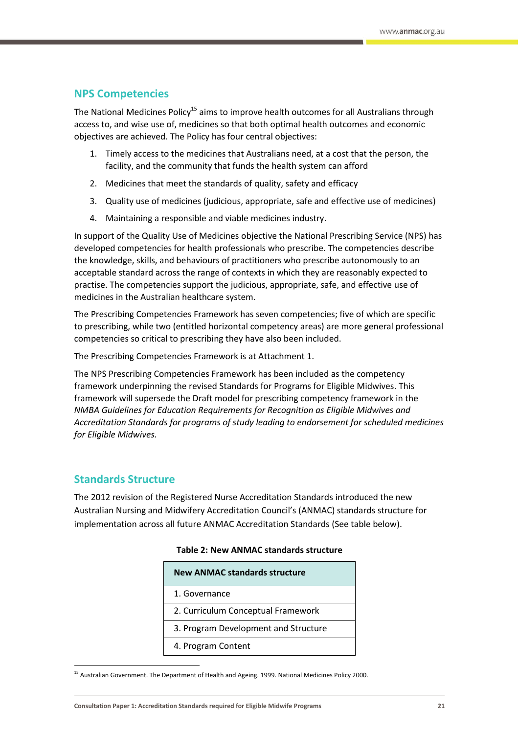## <span id="page-20-0"></span>**NPS Competencies**

The National Medicines Policy<sup>15</sup> aims to improve health outcomes for all Australians through access to, and wise use of, medicines so that both optimal health outcomes and economic objectives are achieved. The Policy has four central objectives:

- 1. Timely access to the medicines that Australians need, at a cost that the person, the facility, and the community that funds the health system can afford
- 2. Medicines that meet the standards of quality, safety and efficacy
- 3. Quality use of medicines (judicious, appropriate, safe and effective use of medicines)
- 4. Maintaining a responsible and viable medicines industry.

In support of the Quality Use of Medicines objective the National Prescribing Service (NPS) has developed competencies for health professionals who prescribe. The competencies describe the knowledge, skills, and behaviours of practitioners who prescribe autonomously to an acceptable standard across the range of contexts in which they are reasonably expected to practise. The competencies support the judicious, appropriate, safe, and effective use of medicines in the Australian healthcare system.

The Prescribing Competencies Framework has seven competencies; five of which are specific to prescribing, while two (entitled horizontal competency areas) are more general professional competencies so critical to prescribing they have also been included.

The Prescribing Competencies Framework is at Attachment 1.

The NPS Prescribing Competencies Framework has been included as the competency framework underpinning the revised Standards for Programs for Eligible Midwives. This framework will supersede the Draft model for prescribing competency framework in the *NMBA Guidelines for Education Requirements for Recognition as Eligible Midwives and Accreditation Standards for programs of study leading to endorsement for scheduled medicines for Eligible Midwives.*

## <span id="page-20-1"></span>**Standards Structure**

 $\overline{\phantom{a}}$ 

The 2012 revision of the Registered Nurse Accreditation Standards introduced the new Australian Nursing and Midwifery Accreditation Council's (ANMAC) standards structure for implementation across all future ANMAC Accreditation Standards (See table below).

| <b>New ANMAC standards structure</b> |
|--------------------------------------|
| 1. Governance                        |
| 2. Curriculum Conceptual Framework   |
| 3. Program Development and Structure |
| 4. Program Content                   |
|                                      |

### **Table 2: New ANMAC standards structure**

<sup>&</sup>lt;sup>15</sup> Australian Government. The Department of Health and Ageing. 1999. National Medicines Policy 2000.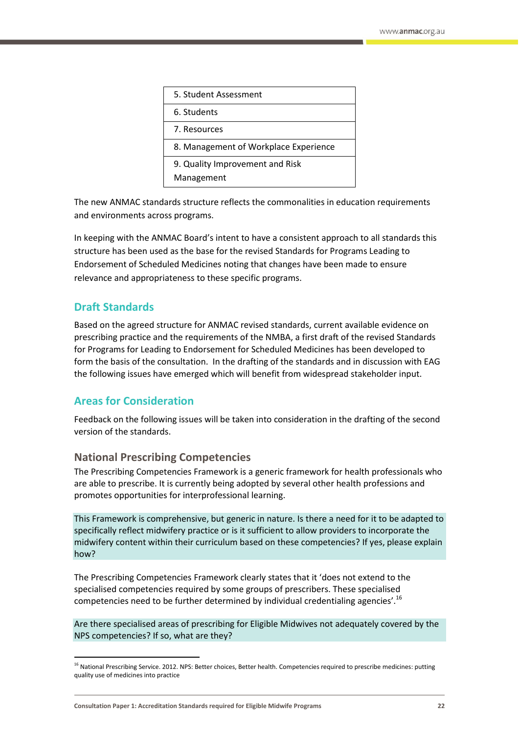| 5. Student Assessment                         |
|-----------------------------------------------|
| 6. Students                                   |
| 7. Resources                                  |
| 8. Management of Workplace Experience         |
| 9. Quality Improvement and Risk<br>Management |

The new ANMAC standards structure reflects the commonalities in education requirements and environments across programs.

In keeping with the ANMAC Board's intent to have a consistent approach to all standards this structure has been used as the base for the revised Standards for Programs Leading to Endorsement of Scheduled Medicines noting that changes have been made to ensure relevance and appropriateness to these specific programs.

# <span id="page-21-0"></span>**Draft Standards**

**.** 

Based on the agreed structure for ANMAC revised standards, current available evidence on prescribing practice and the requirements of the NMBA, a first draft of the revised Standards for Programs for Leading to Endorsement for Scheduled Medicines has been developed to form the basis of the consultation. In the drafting of the standards and in discussion with EAG the following issues have emerged which will benefit from widespread stakeholder input.

## <span id="page-21-1"></span>**Areas for Consideration**

Feedback on the following issues will be taken into consideration in the drafting of the second version of the standards.

## **National Prescribing Competencies**

The Prescribing Competencies Framework is a generic framework for health professionals who are able to prescribe. It is currently being adopted by several other health professions and promotes opportunities for interprofessional learning.

This Framework is comprehensive, but generic in nature. Is there a need for it to be adapted to specifically reflect midwifery practice or is it sufficient to allow providers to incorporate the midwifery content within their curriculum based on these competencies? If yes, please explain how?

The Prescribing Competencies Framework clearly states that it 'does not extend to the specialised competencies required by some groups of prescribers. These specialised competencies need to be further determined by individual credentialing agencies'.<sup>16</sup>

Are there specialised areas of prescribing for Eligible Midwives not adequately covered by the NPS competencies? If so, what are they?

<sup>&</sup>lt;sup>16</sup> National Prescribing Service. 2012. NPS: Better choices, Better health. Competencies required to prescribe medicines: putting quality use of medicines into practice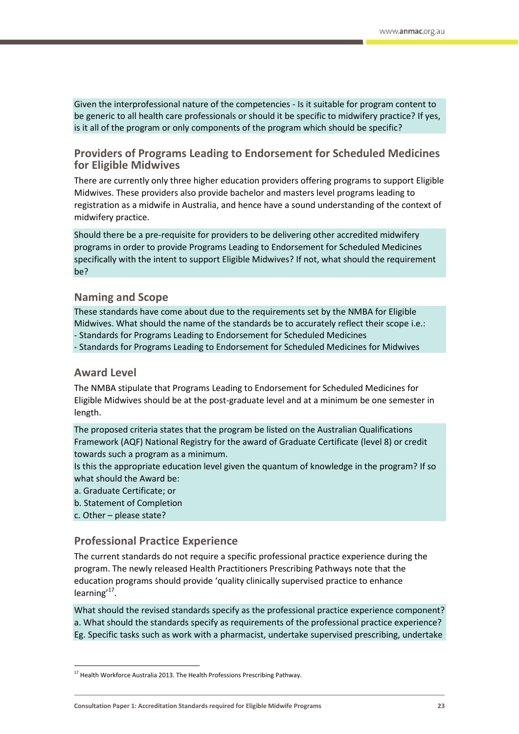Given the interprofessional nature of the competencies - Is it suitable for program content to be generic to all health care professionals or should it be specific to midwifery practice? If yes, is it all of the program or only components of the program which should be specific?

## **Providers of Programs Leading to Endorsement for Scheduled Medicines for Eligible Midwives**

There are currently only three higher education providers offering programs to support Eligible Midwives. These providers also provide bachelor and masters level programs leading to registration as a midwife in Australia, and hence have a sound understanding of the context of midwifery practice.

Should there be a pre-requisite for providers to be delivering other accredited midwifery programs in order to provide Programs Leading to Endorsement for Scheduled Medicines specifically with the intent to support Eligible Midwives? If not, what should the requirement be?

## **Naming and Scope**

These standards have come about due to the requirements set by the NMBA for Eligible Midwives. What should the name of the standards be to accurately reflect their scope i.e.: - Standards for Programs Leading to Endorsement for Scheduled Medicines

- Standards for Programs Leading to Endorsement for Scheduled Medicines for Midwives

## **Award Level**

The NMBA stipulate that Programs Leading to Endorsement for Scheduled Medicines for Eligible Midwives should be at the post-graduate level and at a minimum be one semester in length.

The proposed criteria states that the program be listed on the Australian Qualifications Framework (AQF) National Registry for the award of Graduate Certificate (level 8) or credit towards such a program as a minimum.

Is this the appropriate education level given the quantum of knowledge in the program? If so what should the Award be:

a. Graduate Certificate; or

- b. Statement of Completion
- c. Other please state?

 $\overline{\phantom{a}}$ 

## **Professional Practice Experience**

The current standards do not require a specific professional practice experience during the program. The newly released Health Practitioners Prescribing Pathways note that the education programs should provide 'quality clinically supervised practice to enhance learning'<sup>17</sup>.

What should the revised standards specify as the professional practice experience component? a. What should the standards specify as requirements of the professional practice experience? Eg. Specific tasks such as work with a pharmacist, undertake supervised prescribing, undertake

<sup>&</sup>lt;sup>17</sup> Health Workforce Australia 2013. The Health Professions Prescribing Pathway.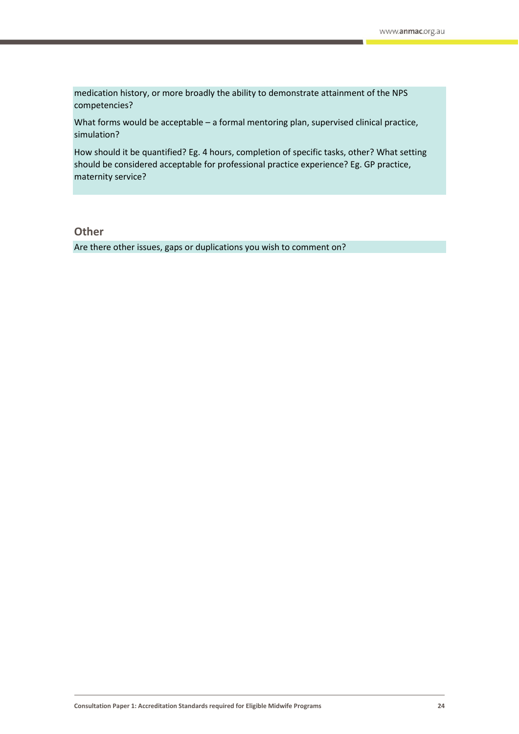medication history, or more broadly the ability to demonstrate attainment of the NPS competencies?

What forms would be acceptable - a formal mentoring plan, supervised clinical practice, simulation?

How should it be quantified? Eg. 4 hours, completion of specific tasks, other? What setting should be considered acceptable for professional practice experience? Eg. GP practice, maternity service?

**Other**

Are there other issues, gaps or duplications you wish to comment on?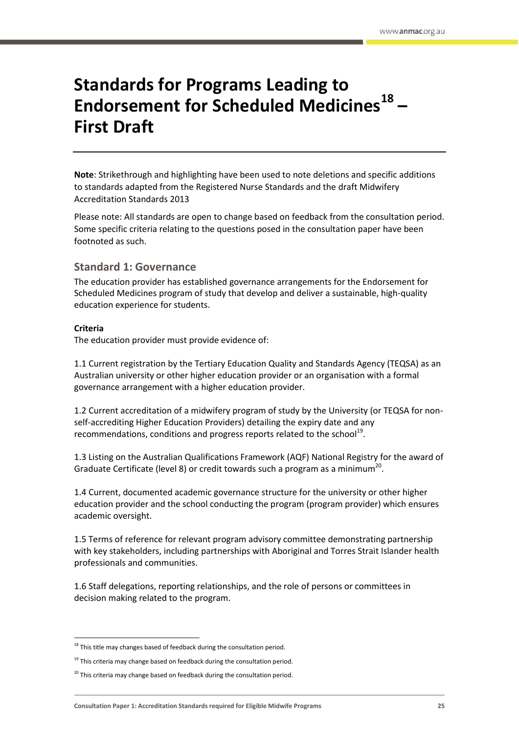# <span id="page-24-0"></span>**Standards for Programs Leading to Endorsement for Scheduled Medicines<sup>18</sup> – First Draft**

**Note**: Strikethrough and highlighting have been used to note deletions and specific additions to standards adapted from the Registered Nurse Standards and the draft Midwifery Accreditation Standards 2013

Please note: All standards are open to change based on feedback from the consultation period. Some specific criteria relating to the questions posed in the consultation paper have been footnoted as such.

## **Standard 1: Governance**

The education provider has established governance arrangements for the Endorsement for Scheduled Medicines program of study that develop and deliver a sustainable, high-quality education experience for students.

### **Criteria**

**.** 

The education provider must provide evidence of:

1.1 Current registration by the Tertiary Education Quality and Standards Agency (TEQSA) as an Australian university or other higher education provider or an organisation with a formal governance arrangement with a higher education provider.

1.2 Current accreditation of a midwifery program of study by the University (or TEQSA for nonself-accrediting Higher Education Providers) detailing the expiry date and any recommendations, conditions and progress reports related to the school<sup>19</sup>.

1.3 Listing on the Australian Qualifications Framework (AQF) National Registry for the award of Graduate Certificate (level 8) or credit towards such a program as a minimum<sup>20</sup>.

1.4 Current, documented academic governance structure for the university or other higher education provider and the school conducting the program (program provider) which ensures academic oversight.

1.5 Terms of reference for relevant program advisory committee demonstrating partnership with key stakeholders, including partnerships with Aboriginal and Torres Strait Islander health professionals and communities.

1.6 Staff delegations, reporting relationships, and the role of persons or committees in decision making related to the program.

 $18$  This title may changes based of feedback during the consultation period.

 $19$  This criteria may change based on feedback during the consultation period.

 $20$  This criteria may change based on feedback during the consultation period.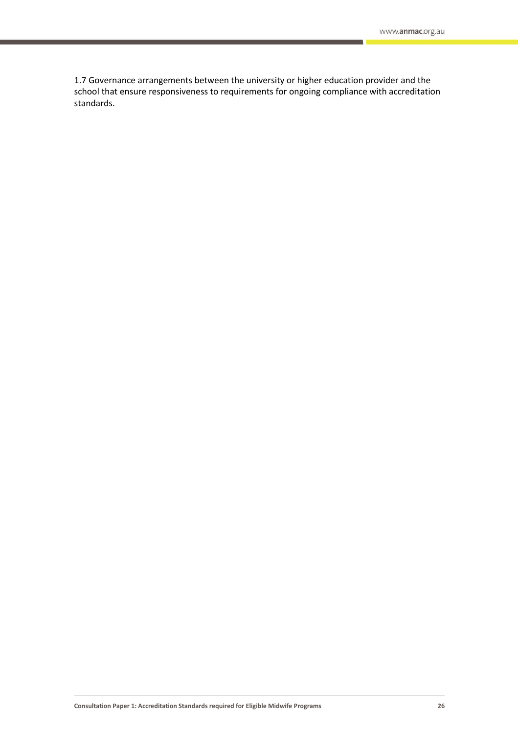1.7 Governance arrangements between the university or higher education provider and the school that ensure responsiveness to requirements for ongoing compliance with accreditation standards.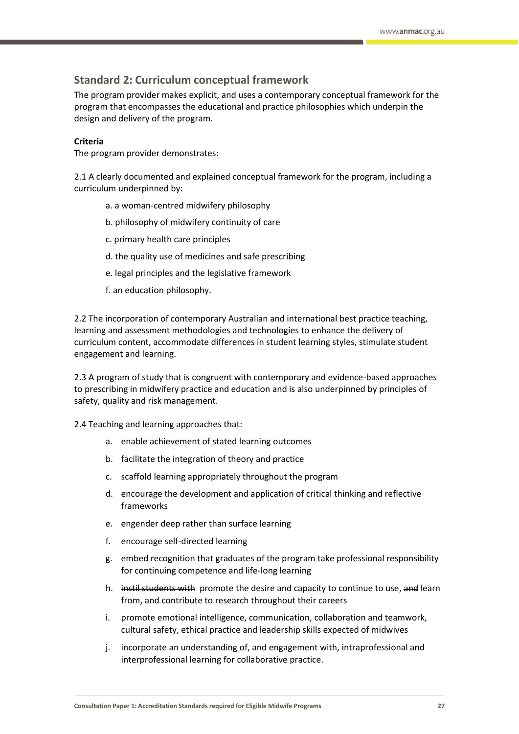## **Standard 2: Curriculum conceptual framework**

The program provider makes explicit, and uses a contemporary conceptual framework for the program that encompasses the educational and practice philosophies which underpin the design and delivery of the program.

### **Criteria**

The program provider demonstrates:

2.1 A clearly documented and explained conceptual framework for the program, including a curriculum underpinned by:

- a. a woman-centred midwifery philosophy
- b. philosophy of midwifery continuity of care
- c. primary health care principles
- d. the quality use of medicines and safe prescribing
- e. legal principles and the legislative framework
- f. an education philosophy.

2.2 The incorporation of contemporary Australian and international best practice teaching, learning and assessment methodologies and technologies to enhance the delivery of curriculum content, accommodate differences in student learning styles, stimulate student engagement and learning.

2.3 A program of study that is congruent with contemporary and evidence-based approaches to prescribing in midwifery practice and education and is also underpinned by principles of safety, quality and risk management.

2.4 Teaching and learning approaches that:

- a. enable achievement of stated learning outcomes
- b. facilitate the integration of theory and practice
- c. scaffold learning appropriately throughout the program
- d. encourage the development and application of critical thinking and reflective frameworks
- e. engender deep rather than surface learning
- f. encourage self-directed learning
- g. embed recognition that graduates of the program take professional responsibility for continuing competence and life-long learning
- h. instil students with promote the desire and capacity to continue to use, and learn from, and contribute to research throughout their careers
- i. promote emotional intelligence, communication, collaboration and teamwork, cultural safety, ethical practice and leadership skills expected of midwives
- j. incorporate an understanding of, and engagement with, intraprofessional and interprofessional learning for collaborative practice.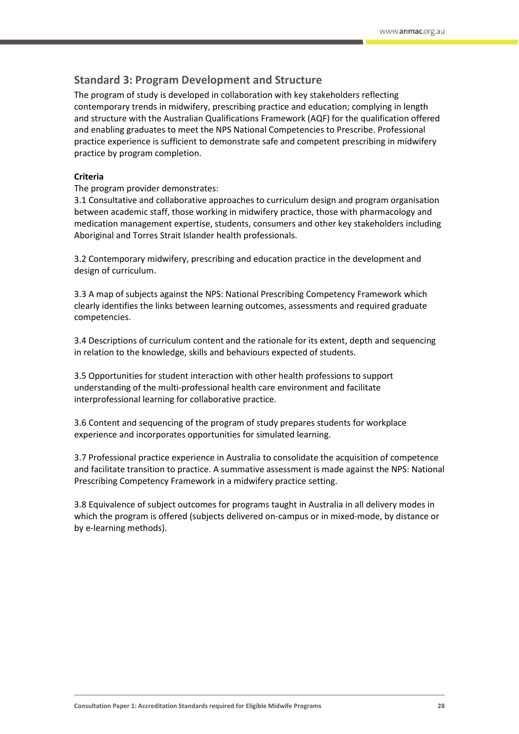## **Standard 3: Program Development and Structure**

The program of study is developed in collaboration with key stakeholders reflecting contemporary trends in midwifery, prescribing practice and education; complying in length and structure with the Australian Qualifications Framework (AQF) for the qualification offered and enabling graduates to meet the NPS National Competencies to Prescribe. Professional practice experience is sufficient to demonstrate safe and competent prescribing in midwifery practice by program completion.

### **Criteria**

The program provider demonstrates:

3.1 Consultative and collaborative approaches to curriculum design and program organisation between academic staff, those working in midwifery practice, those with pharmacology and medication management expertise, students, consumers and other key stakeholders including Aboriginal and Torres Strait Islander health professionals.

3.2 Contemporary midwifery, prescribing and education practice in the development and design of curriculum.

3.3 A map of subjects against the NPS: National Prescribing Competency Framework which clearly identifies the links between learning outcomes, assessments and required graduate competencies.

3.4 Descriptions of curriculum content and the rationale for its extent, depth and sequencing in relation to the knowledge, skills and behaviours expected of students.

3.5 Opportunities for student interaction with other health professions to support understanding of the multi-professional health care environment and facilitate interprofessional learning for collaborative practice.

3.6 Content and sequencing of the program of study prepares students for workplace experience and incorporates opportunities for simulated learning.

3.7 Professional practice experience in Australia to consolidate the acquisition of competence and facilitate transition to practice. A summative assessment is made against the NPS: National Prescribing Competency Framework in a midwifery practice setting.

3.8 Equivalence of subject outcomes for programs taught in Australia in all delivery modes in which the program is offered (subjects delivered on-campus or in mixed-mode, by distance or by e-learning methods).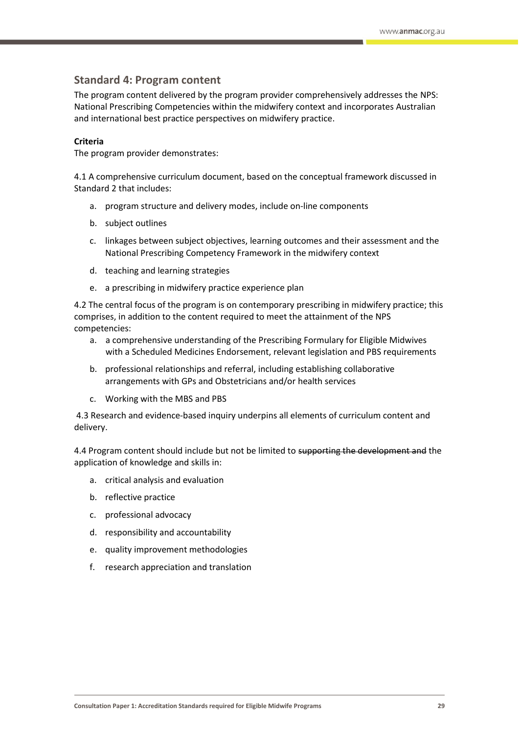## **Standard 4: Program content**

The program content delivered by the program provider comprehensively addresses the NPS: National Prescribing Competencies within the midwifery context and incorporates Australian and international best practice perspectives on midwifery practice.

#### **Criteria**

The program provider demonstrates:

4.1 A comprehensive curriculum document, based on the conceptual framework discussed in Standard 2 that includes:

- a. program structure and delivery modes, include on-line components
- b. subject outlines
- c. linkages between subject objectives, learning outcomes and their assessment and the National Prescribing Competency Framework in the midwifery context
- d. teaching and learning strategies
- e. a prescribing in midwifery practice experience plan

4.2 The central focus of the program is on contemporary prescribing in midwifery practice; this comprises, in addition to the content required to meet the attainment of the NPS competencies:

- a. a comprehensive understanding of the Prescribing Formulary for Eligible Midwives with a Scheduled Medicines Endorsement, relevant legislation and PBS requirements
- b. professional relationships and referral, including establishing collaborative arrangements with GPs and Obstetricians and/or health services
- c. Working with the MBS and PBS

4.3 Research and evidence-based inquiry underpins all elements of curriculum content and delivery.

4.4 Program content should include but not be limited to supporting the development and the application of knowledge and skills in:

- a. critical analysis and evaluation
- b. reflective practice
- c. professional advocacy
- d. responsibility and accountability
- e. quality improvement methodologies
- f. research appreciation and translation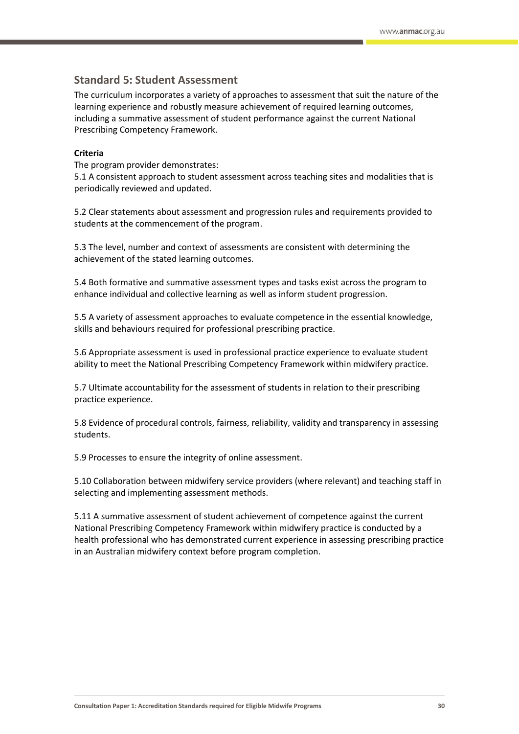## **Standard 5: Student Assessment**

The curriculum incorporates a variety of approaches to assessment that suit the nature of the learning experience and robustly measure achievement of required learning outcomes, including a summative assessment of student performance against the current National Prescribing Competency Framework.

### **Criteria**

The program provider demonstrates:

5.1 A consistent approach to student assessment across teaching sites and modalities that is periodically reviewed and updated.

5.2 Clear statements about assessment and progression rules and requirements provided to students at the commencement of the program.

5.3 The level, number and context of assessments are consistent with determining the achievement of the stated learning outcomes.

5.4 Both formative and summative assessment types and tasks exist across the program to enhance individual and collective learning as well as inform student progression.

5.5 A variety of assessment approaches to evaluate competence in the essential knowledge, skills and behaviours required for professional prescribing practice.

5.6 Appropriate assessment is used in professional practice experience to evaluate student ability to meet the National Prescribing Competency Framework within midwifery practice.

5.7 Ultimate accountability for the assessment of students in relation to their prescribing practice experience.

5.8 Evidence of procedural controls, fairness, reliability, validity and transparency in assessing students.

5.9 Processes to ensure the integrity of online assessment.

5.10 Collaboration between midwifery service providers (where relevant) and teaching staff in selecting and implementing assessment methods.

5.11 A summative assessment of student achievement of competence against the current National Prescribing Competency Framework within midwifery practice is conducted by a health professional who has demonstrated current experience in assessing prescribing practice in an Australian midwifery context before program completion.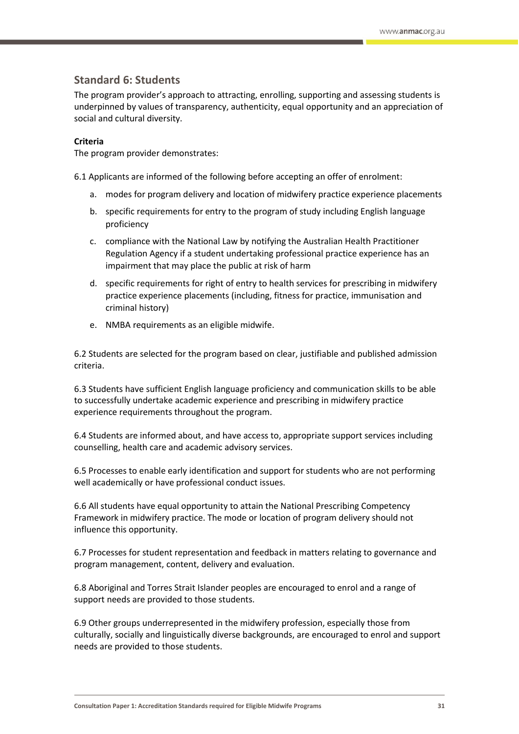## **Standard 6: Students**

The program provider's approach to attracting, enrolling, supporting and assessing students is underpinned by values of transparency, authenticity, equal opportunity and an appreciation of social and cultural diversity.

#### **Criteria**

The program provider demonstrates:

6.1 Applicants are informed of the following before accepting an offer of enrolment:

- a. modes for program delivery and location of midwifery practice experience placements
- b. specific requirements for entry to the program of study including English language proficiency
- c. compliance with the National Law by notifying the Australian Health Practitioner Regulation Agency if a student undertaking professional practice experience has an impairment that may place the public at risk of harm
- d. specific requirements for right of entry to health services for prescribing in midwifery practice experience placements (including, fitness for practice, immunisation and criminal history)
- e. NMBA requirements as an eligible midwife.

6.2 Students are selected for the program based on clear, justifiable and published admission criteria.

6.3 Students have sufficient English language proficiency and communication skills to be able to successfully undertake academic experience and prescribing in midwifery practice experience requirements throughout the program.

6.4 Students are informed about, and have access to, appropriate support services including counselling, health care and academic advisory services.

6.5 Processes to enable early identification and support for students who are not performing well academically or have professional conduct issues.

6.6 All students have equal opportunity to attain the National Prescribing Competency Framework in midwifery practice. The mode or location of program delivery should not influence this opportunity.

6.7 Processes for student representation and feedback in matters relating to governance and program management, content, delivery and evaluation.

6.8 Aboriginal and Torres Strait Islander peoples are encouraged to enrol and a range of support needs are provided to those students.

6.9 Other groups underrepresented in the midwifery profession, especially those from culturally, socially and linguistically diverse backgrounds, are encouraged to enrol and support needs are provided to those students.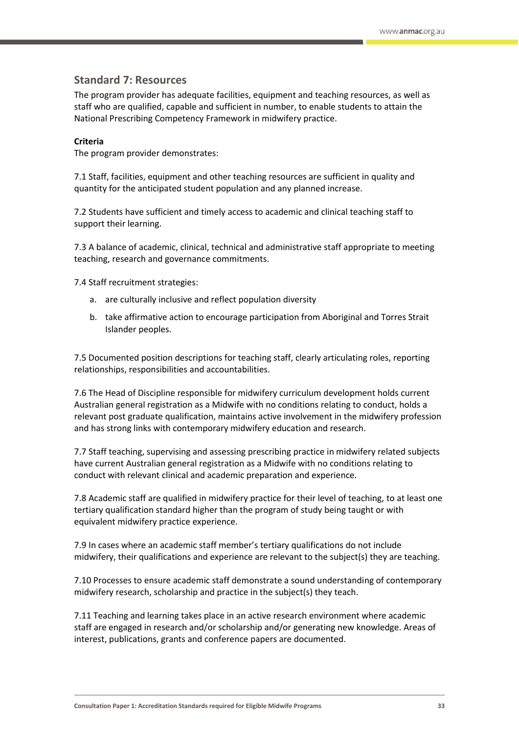## **Standard 7: Resources**

The program provider has adequate facilities, equipment and teaching resources, as well as staff who are qualified, capable and sufficient in number, to enable students to attain the National Prescribing Competency Framework in midwifery practice.

#### **Criteria**

The program provider demonstrates:

7.1 Staff, facilities, equipment and other teaching resources are sufficient in quality and quantity for the anticipated student population and any planned increase.

7.2 Students have sufficient and timely access to academic and clinical teaching staff to support their learning.

7.3 A balance of academic, clinical, technical and administrative staff appropriate to meeting teaching, research and governance commitments.

7.4 Staff recruitment strategies:

- a. are culturally inclusive and reflect population diversity
- b. take affirmative action to encourage participation from Aboriginal and Torres Strait Islander peoples.

7.5 Documented position descriptions for teaching staff, clearly articulating roles, reporting relationships, responsibilities and accountabilities.

7.6 The Head of Discipline responsible for midwifery curriculum development holds current Australian general registration as a Midwife with no conditions relating to conduct, holds a relevant post graduate qualification, maintains active involvement in the midwifery profession and has strong links with contemporary midwifery education and research.

7.7 Staff teaching, supervising and assessing prescribing practice in midwifery related subjects have current Australian general registration as a Midwife with no conditions relating to conduct with relevant clinical and academic preparation and experience.

7.8 Academic staff are qualified in midwifery practice for their level of teaching, to at least one tertiary qualification standard higher than the program of study being taught or with equivalent midwifery practice experience.

7.9 In cases where an academic staff member's tertiary qualifications do not include midwifery, their qualifications and experience are relevant to the subject(s) they are teaching.

7.10 Processes to ensure academic staff demonstrate a sound understanding of contemporary midwifery research, scholarship and practice in the subject(s) they teach.

7.11 Teaching and learning takes place in an active research environment where academic staff are engaged in research and/or scholarship and/or generating new knowledge. Areas of interest, publications, grants and conference papers are documented.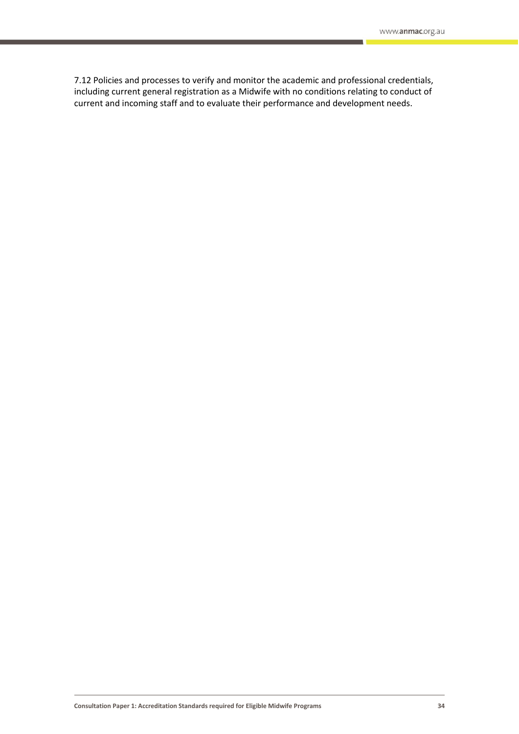7.12 Policies and processes to verify and monitor the academic and professional credentials, including current general registration as a Midwife with no conditions relating to conduct of current and incoming staff and to evaluate their performance and development needs.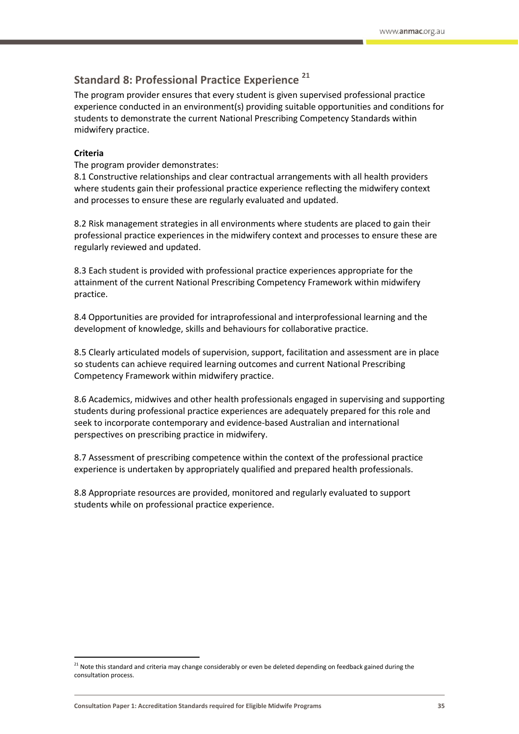# **Standard 8: Professional Practice Experience <sup>21</sup>**

The program provider ensures that every student is given supervised professional practice experience conducted in an environment(s) providing suitable opportunities and conditions for students to demonstrate the current National Prescribing Competency Standards within midwifery practice.

### **Criteria**

**.** 

The program provider demonstrates:

8.1 Constructive relationships and clear contractual arrangements with all health providers where students gain their professional practice experience reflecting the midwifery context and processes to ensure these are regularly evaluated and updated.

8.2 Risk management strategies in all environments where students are placed to gain their professional practice experiences in the midwifery context and processes to ensure these are regularly reviewed and updated.

8.3 Each student is provided with professional practice experiences appropriate for the attainment of the current National Prescribing Competency Framework within midwifery practice.

8.4 Opportunities are provided for intraprofessional and interprofessional learning and the development of knowledge, skills and behaviours for collaborative practice.

8.5 Clearly articulated models of supervision, support, facilitation and assessment are in place so students can achieve required learning outcomes and current National Prescribing Competency Framework within midwifery practice.

8.6 Academics, midwives and other health professionals engaged in supervising and supporting students during professional practice experiences are adequately prepared for this role and seek to incorporate contemporary and evidence-based Australian and international perspectives on prescribing practice in midwifery.

8.7 Assessment of prescribing competence within the context of the professional practice experience is undertaken by appropriately qualified and prepared health professionals.

8.8 Appropriate resources are provided, monitored and regularly evaluated to support students while on professional practice experience.

<sup>&</sup>lt;sup>21</sup> Note this standard and criteria may change considerably or even be deleted depending on feedback gained during the consultation process.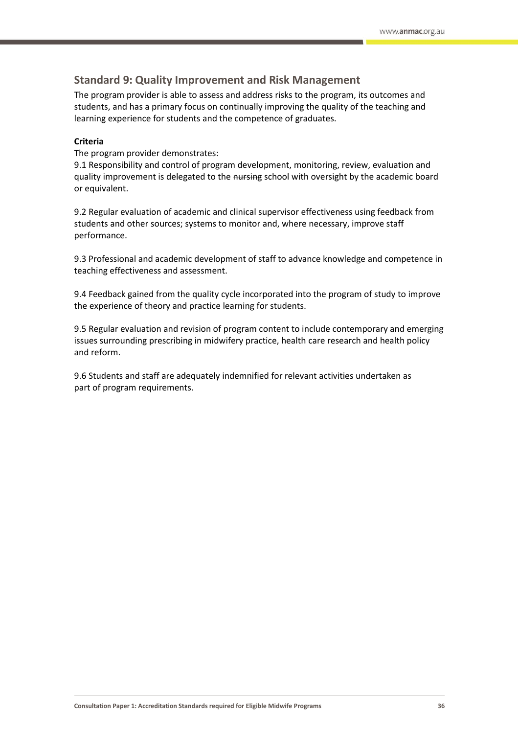## **Standard 9: Quality Improvement and Risk Management**

The program provider is able to assess and address risks to the program, its outcomes and students, and has a primary focus on continually improving the quality of the teaching and learning experience for students and the competence of graduates.

### **Criteria**

The program provider demonstrates:

9.1 Responsibility and control of program development, monitoring, review, evaluation and quality improvement is delegated to the nursing school with oversight by the academic board or equivalent.

9.2 Regular evaluation of academic and clinical supervisor effectiveness using feedback from students and other sources; systems to monitor and, where necessary, improve staff performance.

9.3 Professional and academic development of staff to advance knowledge and competence in teaching effectiveness and assessment.

9.4 Feedback gained from the quality cycle incorporated into the program of study to improve the experience of theory and practice learning for students.

9.5 Regular evaluation and revision of program content to include contemporary and emerging issues surrounding prescribing in midwifery practice, health care research and health policy and reform.

9.6 Students and staff are adequately indemnified for relevant activities undertaken as part of program requirements.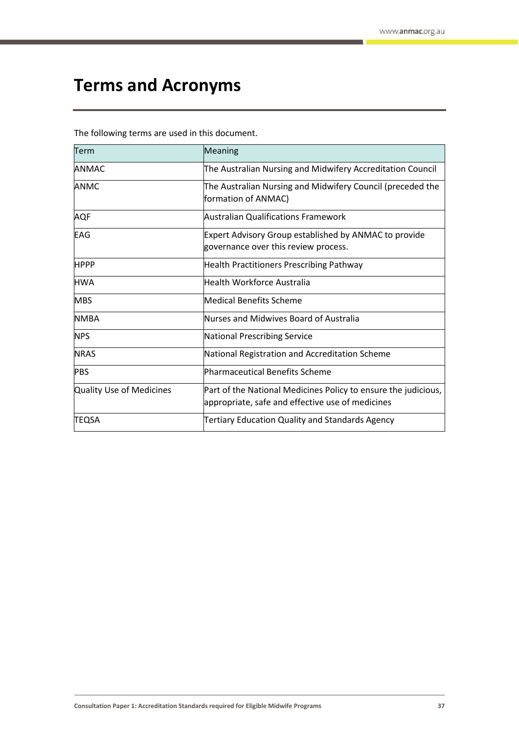# <span id="page-36-0"></span>**Terms and Acronyms**

The following terms are used in this document.

| Term                     | <b>Meaning</b>                                                                                                     |  |
|--------------------------|--------------------------------------------------------------------------------------------------------------------|--|
| <b>ANMAC</b>             | The Australian Nursing and Midwifery Accreditation Council                                                         |  |
| <b>ANMC</b>              | The Australian Nursing and Midwifery Council (preceded the<br>formation of ANMAC)                                  |  |
| <b>AQF</b>               | <b>Australian Qualifications Framework</b>                                                                         |  |
| <b>EAG</b>               | <b>Expert Advisory Group established by ANMAC to provide</b><br>governance over this review process.               |  |
| <b>HPPP</b>              | <b>Health Practitioners Prescribing Pathway</b>                                                                    |  |
| <b>HWA</b>               | Health Workforce Australia                                                                                         |  |
| <b>MBS</b>               | Medical Benefits Scheme                                                                                            |  |
| <b>NMBA</b>              | Nurses and Midwives Board of Australia                                                                             |  |
| <b>NPS</b>               | National Prescribing Service                                                                                       |  |
| <b>NRAS</b>              | National Registration and Accreditation Scheme                                                                     |  |
| <b>PBS</b>               | Pharmaceutical Benefits Scheme                                                                                     |  |
| Quality Use of Medicines | Part of the National Medicines Policy to ensure the judicious,<br>appropriate, safe and effective use of medicines |  |
| <b>TEQSA</b>             | <b>Tertiary Education Quality and Standards Agency</b>                                                             |  |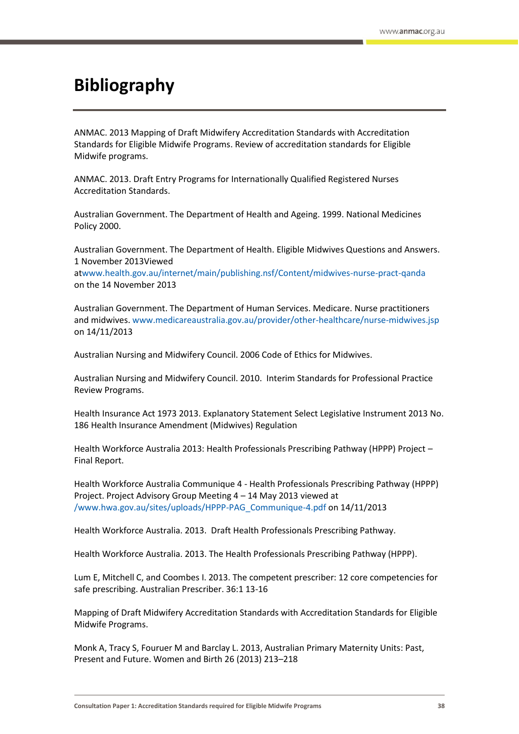# <span id="page-37-0"></span>**Bibliography**

ANMAC. 2013 Mapping of Draft Midwifery Accreditation Standards with Accreditation Standards for Eligible Midwife Programs. Review of accreditation standards for Eligible Midwife programs.

ANMAC. 2013. Draft Entry Programs for Internationally Qualified Registered Nurses Accreditation Standards.

Australian Government. The Department of Health and Ageing. 1999. National Medicines Policy 2000.

Australian Government. The Department of Health. Eligible Midwives Questions and Answers. 1 November 2013Viewed

a[twww.health.gov.au/internet/main/publishing.nsf/Content/midwives-nurse-pract-qanda](file:///C:/Users/jdoolan/AppData/Local/Microsoft/Windows/Temporary%20Internet%20Files/Content.Outlook/N6OKXIQS/www.health.gov.au/internet/main/publishing.nsf/Content/midwives-nurse-pract-qanda) on the 14 November 2013

Australian Government. The Department of Human Services. Medicare. Nurse practitioners and midwives. [www.medicareaustralia.gov.au/provider/other-healthcare/nurse-midwives.jsp](file:///C:/Users/jdoolan/AppData/Local/Microsoft/Windows/Temporary%20Internet%20Files/Content.Outlook/N6OKXIQS/www.medicareaustralia.gov.au/provider/other-healthcare/nurse-midwives.jsp) on 14/11/2013

Australian Nursing and Midwifery Council. 2006 Code of Ethics for Midwives.

Australian Nursing and Midwifery Council. 2010. Interim Standards for Professional Practice Review Programs.

Health Insurance Act 1973 2013. Explanatory Statement Select Legislative Instrument 2013 No. 186 Health Insurance Amendment (Midwives) Regulation

Health Workforce Australia 2013: Health Professionals Prescribing Pathway (HPPP) Project – Final Report.

Health Workforce Australia Communique 4 - Health Professionals Prescribing Pathway (HPPP) Project. Project Advisory Group Meeting 4 – 14 May 2013 viewed at [/www.hwa.gov.au/sites/uploads/HPPP-PAG\\_Communique-4.pdf](file:///C:/www.hwa.gov.au/sites/uploads/HPPP-PAG_Communique-4.pdf) on 14/11/2013

Health Workforce Australia. 2013. Draft Health Professionals Prescribing Pathway.

Health Workforce Australia. 2013. The Health Professionals Prescribing Pathway (HPPP).

Lum E, Mitchell C, and Coombes I. 2013. The competent prescriber: 12 core competencies for safe prescribing. Australian Prescriber. 36:1 13-16

Mapping of Draft Midwifery Accreditation Standards with Accreditation Standards for Eligible Midwife Programs.

Monk A, Tracy S, Fouruer M and Barclay L. 2013, Australian Primary Maternity Units: Past, Present and Future. Women and Birth 26 (2013) 213–218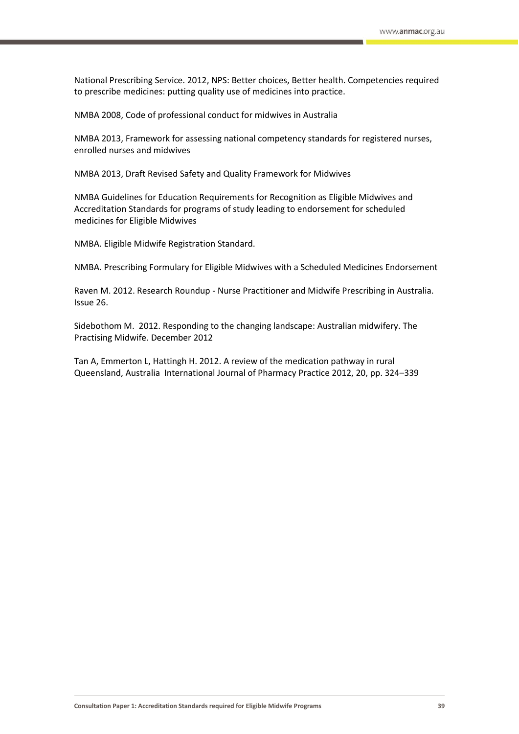National Prescribing Service. 2012, NPS: Better choices, Better health. Competencies required to prescribe medicines: putting quality use of medicines into practice.

NMBA 2008, Code of professional conduct for midwives in Australia

NMBA 2013, Framework for assessing national competency standards for registered nurses, enrolled nurses and midwives

NMBA 2013, Draft Revised Safety and Quality Framework for Midwives

NMBA Guidelines for Education Requirements for Recognition as Eligible Midwives and Accreditation Standards for programs of study leading to endorsement for scheduled medicines for Eligible Midwives

NMBA. Eligible Midwife Registration Standard.

NMBA. Prescribing Formulary for Eligible Midwives with a Scheduled Medicines Endorsement

Raven M. 2012. Research Roundup - Nurse Practitioner and Midwife Prescribing in Australia. Issue 26.

Sidebothom M. 2012. Responding to the changing landscape: Australian midwifery. The Practising Midwife. December 2012

Tan A, Emmerton L, Hattingh H. 2012. A review of the medication pathway in rural Queensland, Australia International Journal of Pharmacy Practice 2012, 20, pp. 324–339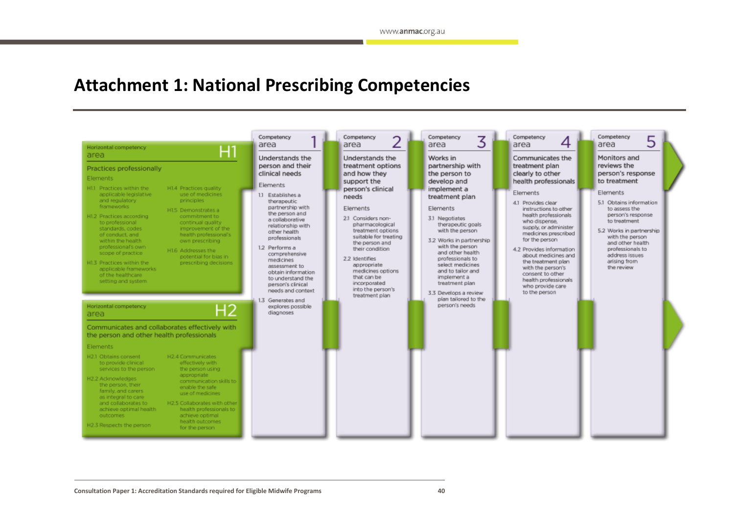# **Attachment 1: National Prescribing Competencies**

<span id="page-39-0"></span>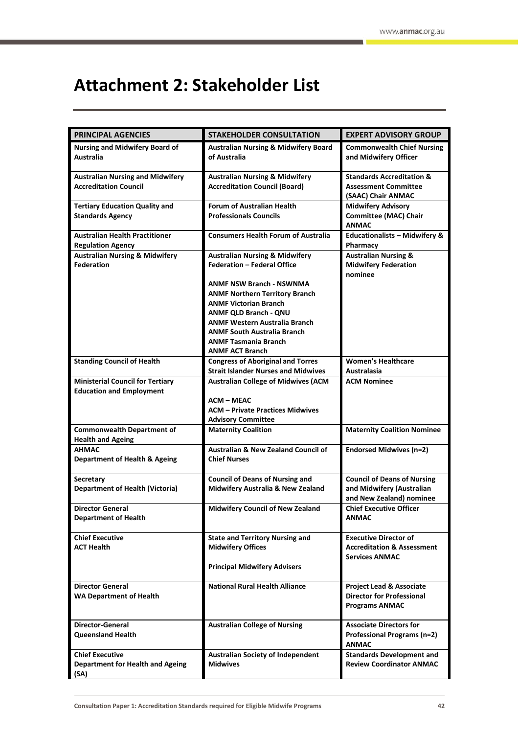# <span id="page-41-0"></span>**Attachment 2: Stakeholder List**

| <b>PRINCIPAL AGENCIES</b>                                     | <b>STAKEHOLDER CONSULTATION</b>                 | <b>EXPERT ADVISORY GROUP</b>                                            |
|---------------------------------------------------------------|-------------------------------------------------|-------------------------------------------------------------------------|
| <b>Nursing and Midwifery Board of</b>                         | <b>Australian Nursing &amp; Midwifery Board</b> | <b>Commonwealth Chief Nursing</b>                                       |
| Australia                                                     | of Australia                                    | and Midwifery Officer                                                   |
|                                                               |                                                 |                                                                         |
| <b>Australian Nursing and Midwifery</b>                       | <b>Australian Nursing &amp; Midwifery</b>       | <b>Standards Accreditation &amp;</b>                                    |
| <b>Accreditation Council</b>                                  | <b>Accreditation Council (Board)</b>            | <b>Assessment Committee</b>                                             |
|                                                               |                                                 | (SAAC) Chair ANMAC                                                      |
| <b>Tertiary Education Quality and</b>                         | <b>Forum of Australian Health</b>               | <b>Midwifery Advisory</b>                                               |
| <b>Standards Agency</b>                                       | <b>Professionals Councils</b>                   | <b>Committee (MAC) Chair</b>                                            |
|                                                               |                                                 | <b>ANMAC</b>                                                            |
| <b>Australian Health Practitioner</b>                         | <b>Consumers Health Forum of Australia</b>      | <b>Educationalists - Midwifery &amp;</b>                                |
| <b>Regulation Agency</b>                                      |                                                 | Pharmacy                                                                |
| <b>Australian Nursing &amp; Midwifery</b>                     | <b>Australian Nursing &amp; Midwifery</b>       | <b>Australian Nursing &amp;</b>                                         |
| <b>Federation</b>                                             | <b>Federation - Federal Office</b>              | <b>Midwifery Federation</b><br>nominee                                  |
|                                                               | ANMF NSW Branch - NSWNMA                        |                                                                         |
|                                                               | <b>ANMF Northern Territory Branch</b>           |                                                                         |
|                                                               | <b>ANMF Victorian Branch</b>                    |                                                                         |
|                                                               | ANMF QLD Branch - QNU                           |                                                                         |
|                                                               | <b>ANMF Western Australia Branch</b>            |                                                                         |
|                                                               | <b>ANMF South Australia Branch</b>              |                                                                         |
|                                                               | <b>ANMF Tasmania Branch</b>                     |                                                                         |
|                                                               | <b>ANMF ACT Branch</b>                          |                                                                         |
| <b>Standing Council of Health</b>                             | <b>Congress of Aboriginal and Torres</b>        | <b>Women's Healthcare</b>                                               |
|                                                               | <b>Strait Islander Nurses and Midwives</b>      | Australasia                                                             |
| <b>Ministerial Council for Tertiary</b>                       | <b>Australian College of Midwives (ACM</b>      | <b>ACM Nominee</b>                                                      |
| <b>Education and Employment</b>                               |                                                 |                                                                         |
|                                                               | <b>ACM - MEAC</b>                               |                                                                         |
|                                                               | <b>ACM - Private Practices Midwives</b>         |                                                                         |
|                                                               | <b>Advisory Committee</b>                       |                                                                         |
| <b>Commonwealth Department of</b><br><b>Health and Ageing</b> | <b>Maternity Coalition</b>                      | <b>Maternity Coalition Nominee</b>                                      |
| <b>AHMAC</b>                                                  | <b>Australian &amp; New Zealand Council of</b>  | <b>Endorsed Midwives (n=2)</b>                                          |
| <b>Department of Health &amp; Ageing</b>                      | <b>Chief Nurses</b>                             |                                                                         |
|                                                               |                                                 |                                                                         |
| Secretary                                                     | <b>Council of Deans of Nursing and</b>          | <b>Council of Deans of Nursing</b>                                      |
| <b>Department of Health (Victoria)</b>                        | Midwifery Australia & New Zealand               | and Midwifery (Australian                                               |
|                                                               |                                                 | and New Zealand) nominee                                                |
| <b>Director General</b>                                       | <b>Midwifery Council of New Zealand</b>         | <b>Chief Executive Officer</b>                                          |
| Department of Health                                          |                                                 | ANMAC                                                                   |
|                                                               |                                                 |                                                                         |
| <b>Chief Executive</b>                                        | <b>State and Territory Nursing and</b>          | <b>Executive Director of</b>                                            |
| <b>ACT Health</b>                                             | <b>Midwifery Offices</b>                        | <b>Accreditation &amp; Assessment</b>                                   |
|                                                               |                                                 | <b>Services ANMAC</b>                                                   |
|                                                               | <b>Principal Midwifery Advisers</b>             |                                                                         |
|                                                               |                                                 |                                                                         |
| <b>Director General</b><br><b>WA Department of Health</b>     | <b>National Rural Health Alliance</b>           | <b>Project Lead &amp; Associate</b><br><b>Director for Professional</b> |
|                                                               |                                                 | <b>Programs ANMAC</b>                                                   |
|                                                               |                                                 |                                                                         |
| <b>Director-General</b>                                       | <b>Australian College of Nursing</b>            | <b>Associate Directors for</b>                                          |
| <b>Queensland Health</b>                                      |                                                 | Professional Programs (n=2)                                             |
|                                                               |                                                 | <b>ANMAC</b>                                                            |
| <b>Chief Executive</b>                                        | <b>Australian Society of Independent</b>        | <b>Standards Development and</b>                                        |
| <b>Department for Health and Ageing</b>                       | <b>Midwives</b>                                 | <b>Review Coordinator ANMAC</b>                                         |
| (SA)                                                          |                                                 |                                                                         |